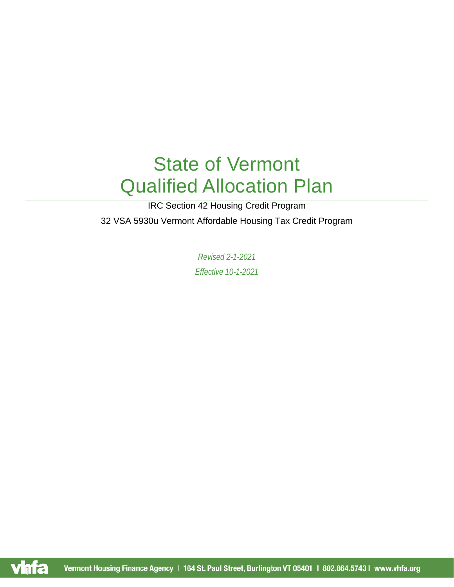# State of Vermont Qualified Allocation Plan

IRC Section 42 Housing Credit Program

32 VSA 5930u Vermont Affordable Housing Tax Credit Program

*Revised 2-1-2021 Effective 10-1-2021*

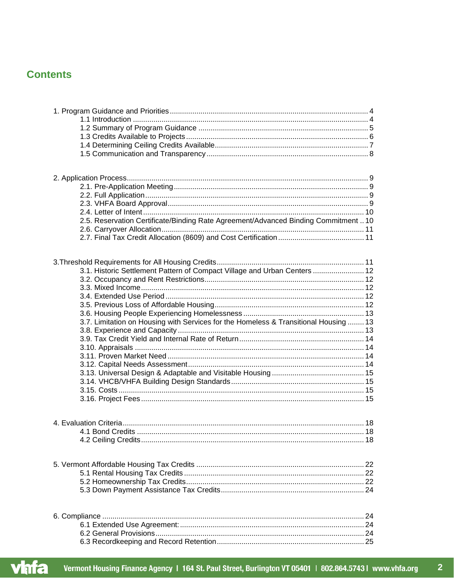# **Contents**

| 2.5. Reservation Certificate/Binding Rate Agreement/Advanced Binding Commitment  10  |  |
|--------------------------------------------------------------------------------------|--|
|                                                                                      |  |
|                                                                                      |  |
|                                                                                      |  |
| 3.1. Historic Settlement Pattern of Compact Village and Urban Centers  12            |  |
|                                                                                      |  |
|                                                                                      |  |
|                                                                                      |  |
|                                                                                      |  |
|                                                                                      |  |
| 3.7. Limitation on Housing with Services for the Homeless & Transitional Housing  13 |  |
|                                                                                      |  |
|                                                                                      |  |
|                                                                                      |  |
|                                                                                      |  |
|                                                                                      |  |
|                                                                                      |  |
|                                                                                      |  |
|                                                                                      |  |
|                                                                                      |  |
|                                                                                      |  |
|                                                                                      |  |
|                                                                                      |  |
|                                                                                      |  |
|                                                                                      |  |
|                                                                                      |  |
|                                                                                      |  |
|                                                                                      |  |
|                                                                                      |  |
|                                                                                      |  |
|                                                                                      |  |
|                                                                                      |  |
|                                                                                      |  |

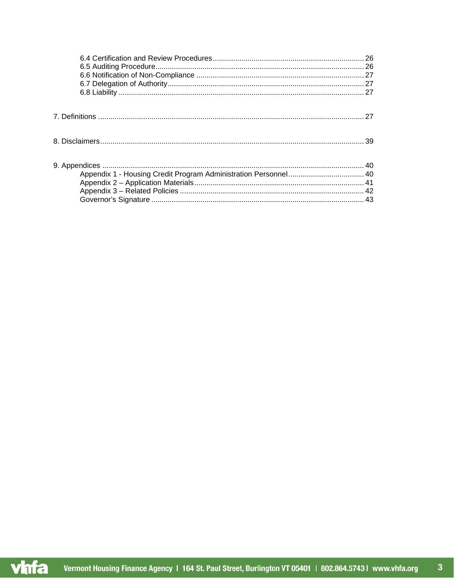$\overline{\mathbf{3}}$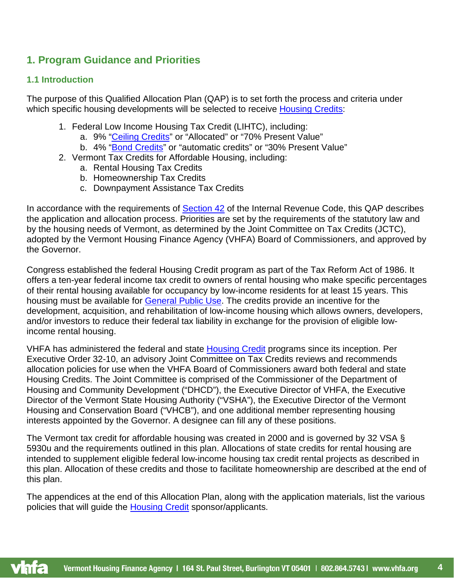# <span id="page-3-0"></span>**1. Program Guidance and Priorities**

## <span id="page-3-1"></span>**1.1 Introduction**

The purpose of this Qualified Allocation Plan (QAP) is to set forth the process and criteria under which specific housing developments will be selected to receive [Housing Credits:](#page-31-0)

- 1. Federal Low Income Housing Tax Credit (LIHTC), including:
	- a. 9% ["Ceiling Credits"](#page-28-0) or "Allocated" or "70% Present Value"
	- b. 4% ["Bond Credits"](#page-27-0) or "automatic credits" or "30% Present Value"
- 2. Vermont Tax Credits for Affordable Housing, including:
	- a. Rental Housing Tax Credits
	- b. Homeownership Tax Credits
	- c. Downpayment Assistance Tax Credits

In accordance with the requirements of [Section 42](#page-35-0) of the Internal Revenue Code, this QAP describes the application and allocation process. Priorities are set by the requirements of the statutory law and by the housing needs of Vermont, as determined by the Joint Committee on Tax Credits (JCTC), adopted by the Vermont Housing Finance Agency (VHFA) Board of Commissioners, and approved by the Governor.

Congress established the federal Housing Credit program as part of the Tax Reform Act of 1986. It offers a ten-year federal income tax credit to owners of rental housing who make specific percentages of their rental housing available for occupancy by low-income residents for at least 15 years. This housing must be available for [General Public Use.](#page-29-0) The credits provide an incentive for the development, acquisition, and rehabilitation of low-income housing which allows owners, developers, and/or investors to reduce their federal tax liability in exchange for the provision of eligible lowincome rental housing.

VHFA has administered the federal and state [Housing Credit](#page-31-0) programs since its inception. Per Executive Order 32-10, an advisory Joint Committee on Tax Credits reviews and recommends allocation policies for use when the VHFA Board of Commissioners award both federal and state Housing Credits. The Joint Committee is comprised of the Commissioner of the Department of Housing and Community Development ("DHCD"), the Executive Director of VHFA, the Executive Director of the Vermont State Housing Authority ("VSHA"), the Executive Director of the Vermont Housing and Conservation Board ("VHCB"), and one additional member representing housing interests appointed by the Governor. A designee can fill any of these positions.

The Vermont tax credit for affordable housing was created in 2000 and is governed by 32 VSA § 5930u and the requirements outlined in this plan. Allocations of state credits for rental housing are intended to supplement eligible federal low-income housing tax credit rental projects as described in this plan. Allocation of these credits and those to facilitate homeownership are described at the end of this plan.

The appendices at the end of this Allocation Plan, along with the application materials, list the various policies that will guide the [Housing Credit](#page-31-0) sponsor/applicants.

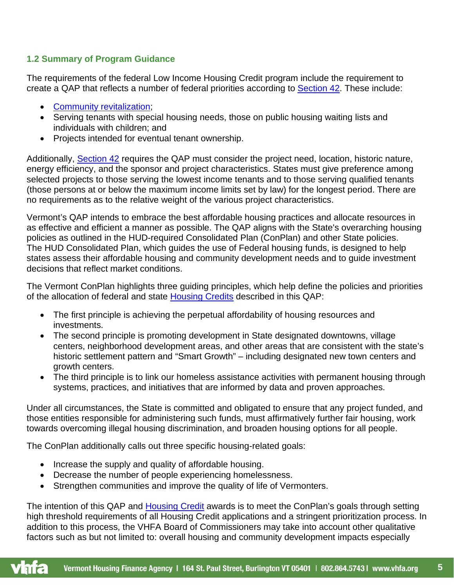# <span id="page-4-0"></span>**1.2 Summary of Program Guidance**

The requirements of the federal Low Income Housing Credit program include the requirement to create a QAP that reflects a number of federal priorities according to [Section 42.](#page-35-0) These include:

- [Community revitalization;](#page-28-1)
- Serving tenants with special housing needs, those on public housing waiting lists and individuals with children; and
- Projects intended for eventual tenant ownership.

Additionally, [Section 42](#page-35-0) requires the QAP must consider the project need, location, historic nature, energy efficiency, and the sponsor and project characteristics. States must give preference among selected projects to those serving the lowest income tenants and to those serving qualified tenants (those persons at or below the maximum income limits set by law) for the longest period. There are no requirements as to the relative weight of the various project characteristics.

Vermont's QAP intends to embrace the best affordable housing practices and allocate resources in as effective and efficient a manner as possible. The QAP aligns with the State's overarching housing policies as outlined in the HUD-required Consolidated Plan (ConPlan) and other State policies. The HUD Consolidated Plan, which guides the use of Federal housing funds, is designed to help states assess their affordable housing and community development needs and to guide investment decisions that reflect market conditions.

The Vermont ConPlan highlights three guiding principles, which help define the policies and priorities of the allocation of federal and state [Housing Credits](#page-31-0) described in this QAP:

- The first principle is achieving the perpetual affordability of housing resources and investments.
- The second principle is promoting development in State designated downtowns, village centers, neighborhood development areas, and other areas that are consistent with the state's historic settlement pattern and "Smart Growth" – including designated new town centers and growth centers.
- The third principle is to link our homeless assistance activities with permanent housing through systems, practices, and initiatives that are informed by data and proven approaches.

Under all circumstances, the State is committed and obligated to ensure that any project funded, and those entities responsible for administering such funds, must affirmatively further fair housing, work towards overcoming illegal housing discrimination, and broaden housing options for all people.

The ConPlan additionally calls out three specific housing-related goals:

- Increase the supply and quality of affordable housing.
- Decrease the number of people experiencing homelessness.
- Strengthen communities and improve the quality of life of Vermonters.

The intention of this QAP and [Housing Credit](#page-31-0) awards is to meet the ConPlan's goals through setting high threshold requirements of all Housing Credit applications and a stringent prioritization process. In addition to this process, the VHFA Board of Commissioners may take into account other qualitative factors such as but not limited to: overall housing and community development impacts especially

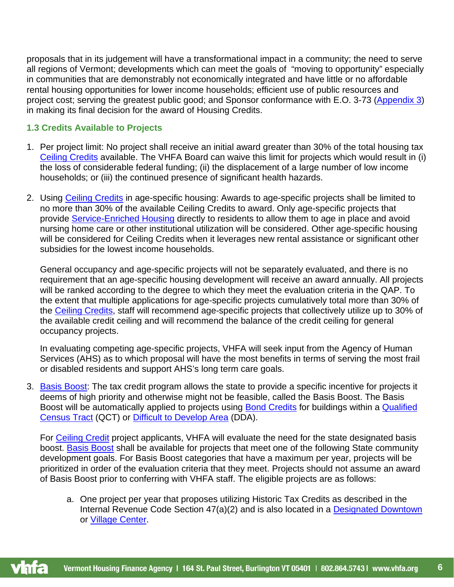proposals that in its judgement will have a transformational impact in a community; the need to serve all regions of Vermont; developments which can meet the goals of "moving to opportunity" especially in communities that are demonstrably not economically integrated and have little or no affordable rental housing opportunities for lower income households; efficient use of public resources and project cost; serving the greatest public good; and Sponsor conformance with E.O. 3-73 [\(Appendix 3\)](#page-21-3) in making its final decision for the award of Housing Credits.

## <span id="page-5-0"></span>**1.3 Credits Available to Projects**

- 1. Per project limit: No project shall receive an initial award greater than 30% of the total housing tax [Ceiling Credits](#page-28-0) available. The VHFA Board can waive this limit for projects which would result in (i) the loss of considerable federal funding; (ii) the displacement of a large number of low income households; or (iii) the continued presence of significant health hazards.
- 2. Using [Ceiling Credits](#page-28-0) in age-specific housing: Awards to age-specific projects shall be limited to no more than 30% of the available Ceiling Credits to award. Only age-specific projects that provide [Service-Enriched Housing](#page-35-1) directly to residents to allow them to age in place and avoid nursing home care or other institutional utilization will be considered. Other age-specific housing will be considered for Ceiling Credits when it leverages new rental assistance or significant other subsidies for the lowest income households.

General occupancy and age-specific projects will not be separately evaluated, and there is no requirement that an age-specific housing development will receive an award annually. All projects will be ranked according to the degree to which they meet the evaluation criteria in the QAP. To the extent that multiple applications for age-specific projects cumulatively total more than 30% of the [Ceiling Credits,](#page-28-0) staff will recommend age-specific projects that collectively utilize up to 30% of the available credit ceiling and will recommend the balance of the credit ceiling for general occupancy projects.

In evaluating competing age-specific projects, VHFA will seek input from the Agency of Human Services (AHS) as to which proposal will have the most benefits in terms of serving the most frail or disabled residents and support AHS's long term care goals.

3. [Basis Boost:](#page-27-1) The tax credit program allows the state to provide a specific incentive for projects it deems of high priority and otherwise might not be feasible, called the Basis Boost. The Basis Boost will be automatically applied to projects using **Bond Credits** for buildings within a **Qualified** [Census Tract](#page-33-0) (QCT) or [Difficult to Develop Area](#page-29-1) (DDA).

For [Ceiling Credit](#page-28-0) project applicants, VHFA will evaluate the need for the state designated basis boost. [Basis Boost](#page-27-1) shall be available for projects that meet one of the following State community development goals. For Basis Boost categories that have a maximum per year, projects will be prioritized in order of the evaluation criteria that they meet. Projects should not assume an award of Basis Boost prior to conferring with VHFA staff. The eligible projects are as follows:

a. One project per year that proposes utilizing Historic Tax Credits as described in the Internal Revenue Code Section 47(a)(2) and is also located in a [Designated Downtown](#page-29-2) or [Village Center.](#page-36-0)



**6**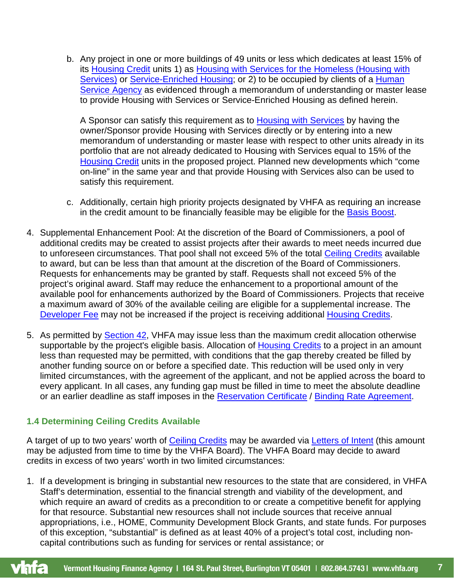b. Any project in one or more buildings of 49 units or less which dedicates at least 15% of its [Housing Credit](#page-31-0) units 1) as [Housing with Services](#page-31-1) for the Homeless (Housing with Services) or [Service-Enriched Housing;](#page-35-1) or 2) to be occupied by clients of a Human [Service Agency](#page-31-2) as evidenced through a memorandum of understanding or master lease to provide Housing with Services or Service-Enriched Housing as defined herein.

A Sponsor can satisfy this requirement as to [Housing with Services](#page-31-1) by having the owner/Sponsor provide Housing with Services directly or by entering into a new memorandum of understanding or master lease with respect to other units already in its portfolio that are not already dedicated to Housing with Services equal to 15% of the [Housing Credit](#page-31-0) units in the proposed project. Planned new developments which "come on-line" in the same year and that provide Housing with Services also can be used to satisfy this requirement.

- c. Additionally, certain high priority projects designated by VHFA as requiring an increase in the credit amount to be financially feasible may be eligible for the [Basis Boost.](#page-27-1)
- 4. Supplemental Enhancement Pool: At the discretion of the Board of Commissioners, a pool of additional credits may be created to assist projects after their awards to meet needs incurred due to unforeseen circumstances. That pool shall not exceed 5% of the total [Ceiling Credits](#page-28-0) available to award, but can be less than that amount at the discretion of the Board of Commissioners. Requests for enhancements may be granted by staff. Requests shall not exceed 5% of the project's original award. Staff may reduce the enhancement to a proportional amount of the available pool for enhancements authorized by the Board of Commissioners. Projects that receive a maximum award of 30% of the available ceiling are eligible for a supplemental increase. The [Developer Fee](#page-29-3) may not be increased if the project is receiving additional [Housing Credits.](#page-31-0)
- 5. As permitted by [Section 42,](#page-35-0) VHFA may issue less than the maximum credit allocation otherwise supportable by the project's eligible basis. Allocation of [Housing Credits](#page-31-0) to a project in an amount less than requested may be permitted, with conditions that the gap thereby created be filled by another funding source on or before a specified date. This reduction will be used only in very limited circumstances, with the agreement of the applicant, and not be applied across the board to every applicant. In all cases, any funding gap must be filled in time to meet the absolute deadline or an earlier deadline as staff imposes in the [Reservation Certificate](#page-34-0) / [Binding Rate Agreement.](#page-27-2)

## <span id="page-6-0"></span>**1.4 Determining Ceiling Credits Available**

A target of up to two years' worth of [Ceiling Credits](#page-28-0) may be awarded via [Letters of Intent](#page-32-0) (this amount may be adjusted from time to time by the VHFA Board). The VHFA Board may decide to award credits in excess of two years' worth in two limited circumstances:

1. If a development is bringing in substantial new resources to the state that are considered, in VHFA Staff's determination, essential to the financial strength and viability of the development, and which require an award of credits as a precondition to or create a competitive benefit for applying for that resource. Substantial new resources shall not include sources that receive annual appropriations, i.e., HOME, Community Development Block Grants, and state funds. For purposes of this exception, "substantial" is defined as at least 40% of a project's total cost, including noncapital contributions such as funding for services or rental assistance; or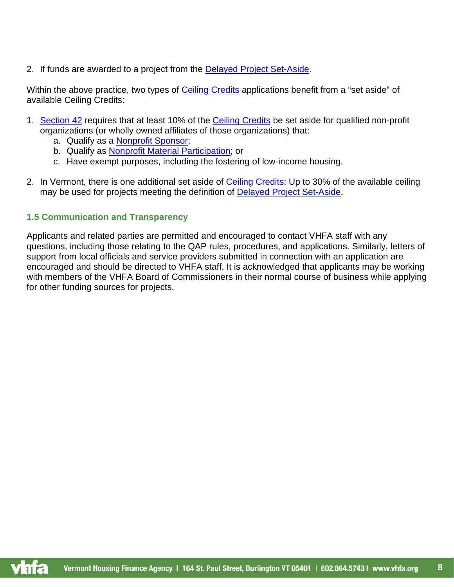2. If funds are awarded to a project from the [Delayed Project Set-Aside.](#page-28-2)

Within the above practice, two types of [Ceiling Credits](#page-28-0) applications benefit from a "set aside" of available Ceiling Credits:

- 1. [Section 42](#page-35-0) requires that at least 10% of the [Ceiling Credits](#page-28-0) be set aside for qualified non-profit organizations (or wholly owned affiliates of those organizations) that:
	- a. Qualify as a [Nonprofit Sponsor;](#page-33-1)
	- b. Qualify as [Nonprofit Material Participation;](#page-33-2) or
	- c. Have exempt purposes, including the fostering of low-income housing.
- 2. In Vermont, there is one additional set aside of [Ceiling Credits:](#page-28-0) Up to 30% of the available ceiling may be used for projects meeting the definition of [Delayed Project Set-Aside.](#page-28-2)

# <span id="page-7-0"></span>**1.5 Communication and Transparency**

Applicants and related parties are permitted and encouraged to contact VHFA staff with any questions, including those relating to the QAP rules, procedures, and applications. Similarly, letters of support from local officials and service providers submitted in connection with an application are encouraged and should be directed to VHFA staff. It is acknowledged that applicants may be working with members of the VHFA Board of Commissioners in their normal course of business while applying for other funding sources for projects.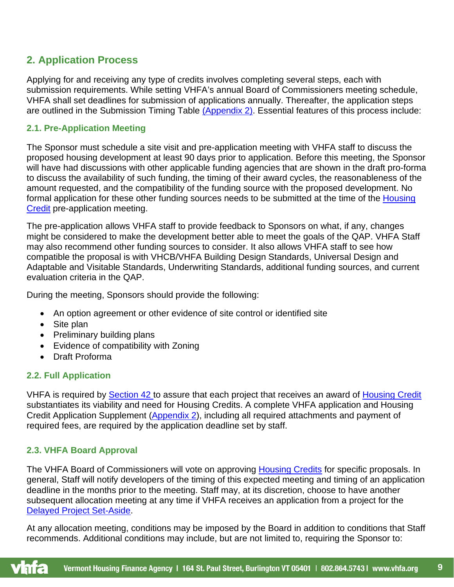# <span id="page-8-0"></span>**2. Application Process**

Applying for and receiving any type of credits involves completing several steps, each with submission requirements. While setting VHFA's annual Board of Commissioners meeting schedule, VHFA shall set deadlines for submission of applications annually. Thereafter, the application steps are outlined in the Submission Timing Table [\(Appendix 2\).](#page-40-1) Essential features of this process include:

## <span id="page-8-1"></span>**2.1. Pre-Application Meeting**

The Sponsor must schedule a site visit and pre-application meeting with VHFA staff to discuss the proposed housing development at least 90 days prior to application. Before this meeting, the Sponsor will have had discussions with other applicable funding agencies that are shown in the draft pro-forma to discuss the availability of such funding, the timing of their award cycles, the reasonableness of the amount requested, and the compatibility of the funding source with the proposed development. No formal application for these other funding sources needs to be submitted at the time of the Housing [Credit](#page-31-0) pre-application meeting.

The pre-application allows VHFA staff to provide feedback to Sponsors on what, if any, changes might be considered to make the development better able to meet the goals of the QAP. VHFA Staff may also recommend other funding sources to consider. It also allows VHFA staff to see how compatible the proposal is with VHCB/VHFA Building Design Standards, Universal Design and Adaptable and Visitable Standards, Underwriting Standards, additional funding sources, and current evaluation criteria in the QAP.

During the meeting, Sponsors should provide the following:

- An option agreement or other evidence of site control or identified site
- Site plan
- Preliminary building plans
- Evidence of compatibility with Zoning
- Draft Proforma

# <span id="page-8-2"></span>**2.2. Full Application**

VHFA is required by **Section 42** to assure that each project that receives an award of [Housing Credit](#page-31-0) substantiates its viability and need for Housing Credits. A complete VHFA application and Housing Credit Application Supplement [\(Appendix 2\)](#page-40-1), including all required attachments and payment of required fees, are required by the application deadline set by staff.

# <span id="page-8-3"></span>**2.3. VHFA Board Approval**

The VHFA Board of Commissioners will vote on approving [Housing Credits](#page-31-0) for specific proposals. In general, Staff will notify developers of the timing of this expected meeting and timing of an application deadline in the months prior to the meeting. Staff may, at its discretion, choose to have another subsequent allocation meeting at any time if VHFA receives an application from a project for the [Delayed Project Set-Aside.](#page-28-2)

At any allocation meeting, conditions may be imposed by the Board in addition to conditions that Staff recommends. Additional conditions may include, but are not limited to, requiring the Sponsor to:

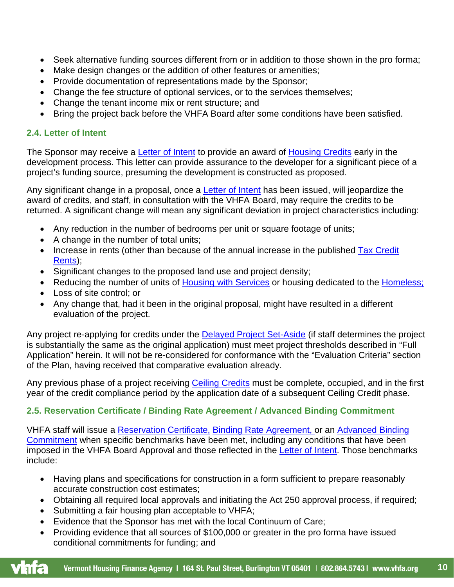- Seek alternative funding sources different from or in addition to those shown in the pro forma;
- Make design changes or the addition of other features or amenities;
- Provide documentation of representations made by the Sponsor;
- Change the fee structure of optional services, or to the services themselves;
- Change the tenant income mix or rent structure; and
- Bring the project back before the VHFA Board after some conditions have been satisfied.

## <span id="page-9-0"></span>**2.4. Letter of Intent**

The Sponsor may receive a [Letter of Intent](#page-32-0) to provide an award of [Housing Credits](#page-31-0) early in the development process. This letter can provide assurance to the developer for a significant piece of a project's funding source, presuming the development is constructed as proposed.

Any significant change in a proposal, once a [Letter of Intent](#page-32-0) has been issued, will jeopardize the award of credits, and staff, in consultation with the VHFA Board, may require the credits to be returned. A significant change will mean any significant deviation in project characteristics including:

- Any reduction in the number of bedrooms per unit or square footage of units;
- A change in the number of total units;
- Increase in rents (other than because of the annual increase in the published Tax Credit [Rents\)](#page-36-1);
- Significant changes to the proposed land use and project density;
- Reducing the number of units of [Housing with Services](#page-31-1) or housing dedicated to the [Homeless;](#page-30-0)
- Loss of site control; or
- Any change that, had it been in the original proposal, might have resulted in a different evaluation of the project.

Any project re-applying for credits under the [Delayed Project Set-Aside](#page-28-2) (if staff determines the project is substantially the same as the original application) must meet project thresholds described in "Full Application" herein. It will not be re-considered for conformance with the "Evaluation Criteria" section of the Plan, having received that comparative evaluation already.

Any previous phase of a project receiving [Ceiling Credits](#page-28-0) must be complete, occupied, and in the first year of the credit compliance period by the application date of a subsequent Ceiling Credit phase.

# <span id="page-9-1"></span>**2.5. Reservation Certificate / Binding Rate Agreement / Advanced Binding Commitment**

VHFA staff will issue a [Reservation Certificate,](#page-34-0) [Binding Rate Agreement,](#page-27-2) or an [Advanced Binding](#page-26-4)  [Commitment](#page-26-4) when specific benchmarks have been met, including any conditions that have been imposed in the VHFA Board Approval and those reflected in the [Letter of Intent.](#page-32-0) Those benchmarks include:

- Having plans and specifications for construction in a form sufficient to prepare reasonably accurate construction cost estimates;
- Obtaining all required local approvals and initiating the Act 250 approval process, if required;
- Submitting a fair housing plan acceptable to VHFA;
- Evidence that the Sponsor has met with the local Continuum of Care;
- Providing evidence that all sources of \$100,000 or greater in the pro forma have issued conditional commitments for funding; and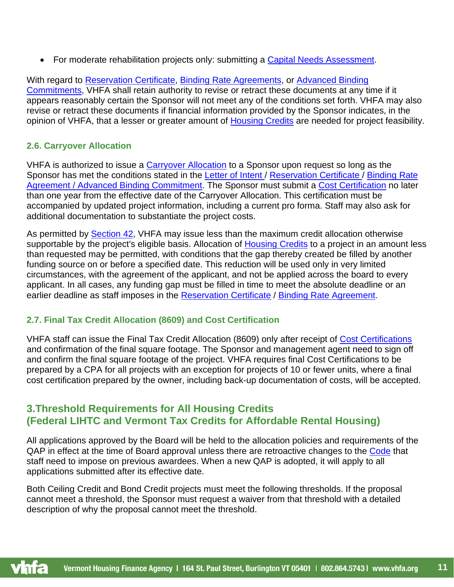• For moderate rehabilitation projects only: submitting a [Capital Needs Assessment.](#page-27-3)

With regard to [Reservation Certificate,](#page-34-0) [Binding Rate Agreements,](#page-27-2) or [Advanced Binding](#page-26-4)  [Commitments,](#page-26-4) VHFA shall retain authority to revise or retract these documents at any time if it appears reasonably certain the Sponsor will not meet any of the conditions set forth. VHFA may also revise or retract these documents if financial information provided by the Sponsor indicates, in the opinion of VHFA, that a lesser or greater amount of [Housing Credits](#page-31-0) are needed for project feasibility.

# <span id="page-10-0"></span>**2.6. [Carryover Allocation](#page-27-4)**

VHFA is authorized to issue a [Carryover Allocation](#page-27-4) to a Sponsor upon request so long as the Sponsor has met the conditions stated in the [Letter of Intent](#page-32-0) / [Reservation Certificate](#page-34-0) / Binding Rate [Agreement](#page-27-2) / [Advanced Binding Commitment.](#page-26-4) The Sponsor must submit a [Cost Certification](#page-28-3) no later than one year from the effective date of the Carryover Allocation. This certification must be accompanied by updated project information, including a current pro forma. Staff may also ask for additional documentation to substantiate the project costs.

As permitted by [Section 42,](#page-35-0) VHFA may issue less than the maximum credit allocation otherwise supportable by the project's eligible basis. Allocation of [Housing Credits](#page-31-0) to a project in an amount less than requested may be permitted, with conditions that the gap thereby created be filled by another funding source on or before a specified date. This reduction will be used only in very limited circumstances, with the agreement of the applicant, and not be applied across the board to every applicant. In all cases, any funding gap must be filled in time to meet the absolute deadline or an earlier deadline as staff imposes in the [Reservation Certificate](#page-34-0) / [Binding Rate Agreement.](#page-27-2)

# <span id="page-10-1"></span>**2.7. Final Tax Credit Allocation (8609) and Cost Certification**

VHFA staff can issue the Final Tax Credit Allocation (8609) only after receipt of [Cost Certifications](#page-28-3) and confirmation of the final square footage. The Sponsor and management agent need to sign off and confirm the final square footage of the project. VHFA requires final Cost Certifications to be prepared by a CPA for all projects with an exception for projects of 10 or fewer units, where a final cost certification prepared by the owner, including back-up documentation of costs, will be accepted.

# <span id="page-10-2"></span>**3.Threshold Requirements for All Housing Credits (Federal LIHTC and Vermont Tax Credits for Affordable Rental Housing)**

All applications approved by the Board will be held to the allocation policies and requirements of the QAP in effect at the time of Board approval unless there are retroactive changes to the [Code](#page-28-4) that staff need to impose on previous awardees. When a new QAP is adopted, it will apply to all applications submitted after its effective date.

Both Ceiling Credit and Bond Credit projects must meet the following thresholds. If the proposal cannot meet a threshold, the Sponsor must request a waiver from that threshold with a detailed description of why the proposal cannot meet the threshold.

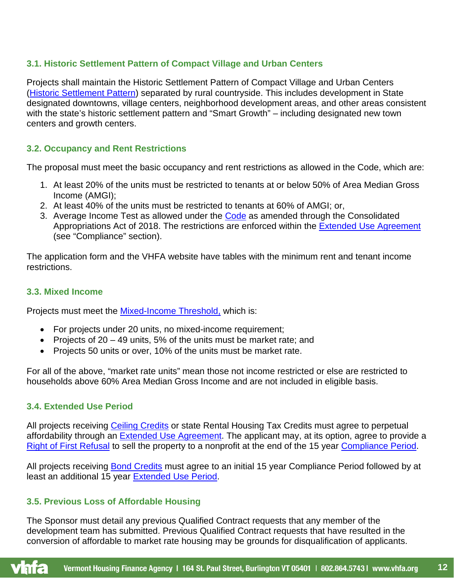# <span id="page-11-0"></span>**3.1. [Historic Settlement Pattern](#page-30-1) of Compact Village and Urban Centers**

Projects shall maintain the Historic Settlement Pattern of Compact Village and Urban Centers [\(Historic Settlement Pattern\)](#page-30-1) separated by rural countryside. This includes development in State designated downtowns, village centers, neighborhood development areas, and other areas consistent with the state's historic settlement pattern and "Smart Growth" – including designated new town centers and growth centers.

## <span id="page-11-1"></span>**3.2. Occupancy and Rent Restrictions**

The proposal must meet the basic occupancy and rent restrictions as allowed in the [Code,](#page-28-4) which are:

- 1. At least 20% of the units must be restricted to tenants at or below 50% of Area Median Gross Income (AMGI);
- 2. At least 40% of the units must be restricted to tenants at 60% of AMGI; or,
- 3. Average Income Test as allowed under the [Code](#page-28-4) as amended through the Consolidated Appropriations Act of 2018. The restrictions are enforced within the [Extended Use Agreement](#page-29-4) (see "Compliance" section).

The application form and the VHFA website have tables with the minimum rent and tenant income restrictions.

## <span id="page-11-2"></span>**3.3. Mixed Income**

Projects must meet the Mixed-Income Threshold, which is:

- For projects under 20 units, no mixed-income requirement;
- Projects of 20 49 units, 5% of the units must be market rate; and
- Projects 50 units or over, 10% of the units must be market rate.

For all of the above, "market rate units" mean those not income restricted or else are restricted to households above 60% Area Median Gross Income and are not included in eligible basis.

# <span id="page-11-3"></span>**3.4. Extended Use Period**

All projects receiving [Ceiling Credits](#page-28-0) or state Rental Housing Tax Credits must agree to perpetual affordability through an [Extended Use Agreement.](#page-29-4) The applicant may, at its option, agree to provide a [Right of First Refusal](#page-34-1) to sell the property to a nonprofit at the end of the 15 year [Compliance Period.](#page-28-5)

All projects receiving **Bond Credits** must agree to an initial 15 year Compliance Period followed by at least an additional 15 year [Extended Use Period.](#page-29-4)

# <span id="page-11-4"></span>**3.5. Previous Loss of Affordable Housing**

The Sponsor must detail any previous Qualified Contract requests that any member of the development team has submitted. Previous Qualified Contract requests that have resulted in the conversion of affordable to market rate housing may be grounds for disqualification of applicants.

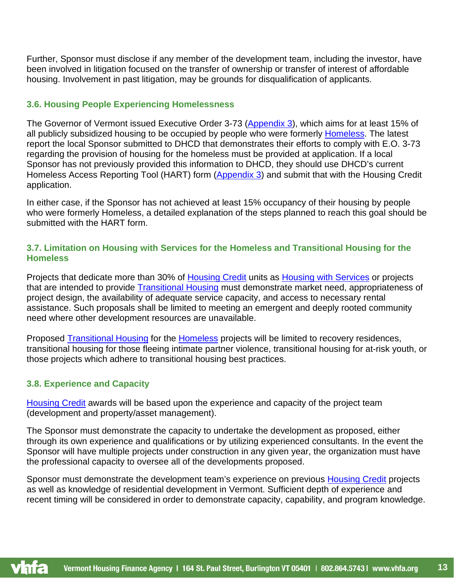Further, Sponsor must disclose if any member of the development team, including the investor, have been involved in litigation focused on the transfer of ownership or transfer of interest of affordable housing. Involvement in past litigation, may be grounds for disqualification of applicants.

## <span id="page-12-0"></span>**3.6. Housing People Experiencing Homelessness**

The Governor of Vermont issued Executive Order 3-73 [\(Appendix 3\)](#page-41-0), which aims for at least 15% of all publicly subsidized housing to be occupied by people who were formerly **Homeless**. The latest report the local Sponsor submitted to DHCD that demonstrates their efforts to comply with E.O. 3-73 regarding the provision of housing for the homeless must be provided at application. If a local Sponsor has not previously provided this information to DHCD, they should use DHCD's current Homeless Access Reporting Tool (HART) form [\(Appendix 3\)](#page-41-0) and submit that with the Housing Credit application.

In either case, if the Sponsor has not achieved at least 15% occupancy of their housing by people who were formerly Homeless, a detailed explanation of the steps planned to reach this goal should be submitted with the HART form.

## <span id="page-12-1"></span>**3.7. Limitation on Housing with Services for the Homeless and Transitional Housing for the Homeless**

Projects that dedicate more than 30% of [Housing Credit](#page-31-0) units as [Housing with Services](#page-31-1) or projects that are intended to provide [Transitional Housing](#page-36-2) must demonstrate market need, appropriateness of project design, the availability of adequate service capacity, and access to necessary rental assistance. Such proposals shall be limited to meeting an emergent and deeply rooted community need where other development resources are unavailable.

Proposed [Transitional Housing](#page-36-2) for the [Homeless](#page-30-0) projects will be limited to recovery residences, transitional housing for those fleeing intimate partner violence, transitional housing for at-risk youth, or those projects which adhere to transitional housing best practices.

# <span id="page-12-2"></span>**3.8. Experience and Capacity**

[Housing Credit](#page-31-0) awards will be based upon the experience and capacity of the project team (development and property/asset management).

The Sponsor must demonstrate the capacity to undertake the development as proposed, either through its own experience and qualifications or by utilizing experienced consultants. In the event the Sponsor will have multiple projects under construction in any given year, the organization must have the professional capacity to oversee all of the developments proposed.

Sponsor must demonstrate the development team's experience on previous [Housing Credit](#page-31-0) projects as well as knowledge of residential development in Vermont. Sufficient depth of experience and recent timing will be considered in order to demonstrate capacity, capability, and program knowledge.

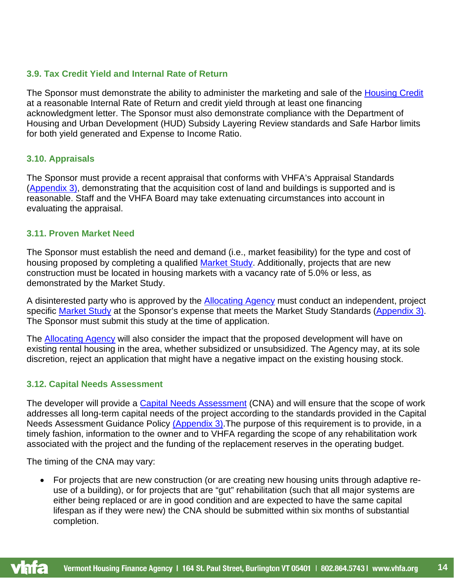## <span id="page-13-0"></span>**3.9. Tax Credit Yield and Internal Rate of Return**

The Sponsor must demonstrate the ability to administer the marketing and sale of the [Housing Credit](#page-31-0) at a reasonable Internal Rate of Return and credit yield through at least one financing acknowledgment letter. The Sponsor must also demonstrate compliance with the Department of Housing and Urban Development (HUD) Subsidy Layering Review standards and Safe Harbor limits for both yield generated and Expense to Income Ratio.

## <span id="page-13-1"></span>**3.10. Appraisals**

The Sponsor must provide a recent appraisal that conforms with VHFA's Appraisal Standards [\(Appendix 3\),](#page-41-0) demonstrating that the acquisition cost of land and buildings is supported and is reasonable. Staff and the VHFA Board may take extenuating circumstances into account in evaluating the appraisal.

## <span id="page-13-2"></span>**3.11. Proven Market Need**

The Sponsor must establish the need and demand (i.e., market feasibility) for the type and cost of housing proposed by completing a qualified [Market Study.](#page-32-1) Additionally, projects that are new construction must be located in housing markets with a vacancy rate of 5.0% or less, as demonstrated by the Market Study.

A disinterested party who is approved by the **Allocating Agency** must conduct an independent, project specific [Market Study](#page-32-1) at the Sponsor's expense that meets the Market Study Standards [\(Appendix 3\).](#page-41-0) The Sponsor must submit this study at the time of application.

The [Allocating Agency](#page-26-5) will also consider the impact that the proposed development will have on existing rental housing in the area, whether subsidized or unsubsidized. The Agency may, at its sole discretion, reject an application that might have a negative impact on the existing housing stock.

# <span id="page-13-3"></span>**3.12. [Capital Needs Assessment](#page-27-3)**

The developer will provide a [Capital Needs Assessment](#page-27-3) (CNA) and will ensure that the scope of work addresses all long-term capital needs of the project according to the standards provided in the Capital Needs Assessment Guidance Policy [\(Appendix 3\).](#page-41-0) The purpose of this requirement is to provide, in a timely fashion, information to the owner and to VHFA regarding the scope of any rehabilitation work associated with the project and the funding of the replacement reserves in the operating budget.

The timing of the CNA may vary:

• For projects that are new construction (or are creating new housing units through adaptive reuse of a building), or for projects that are "gut" rehabilitation (such that all major systems are either being replaced or are in good condition and are expected to have the same capital lifespan as if they were new) the CNA should be submitted within six months of substantial completion.

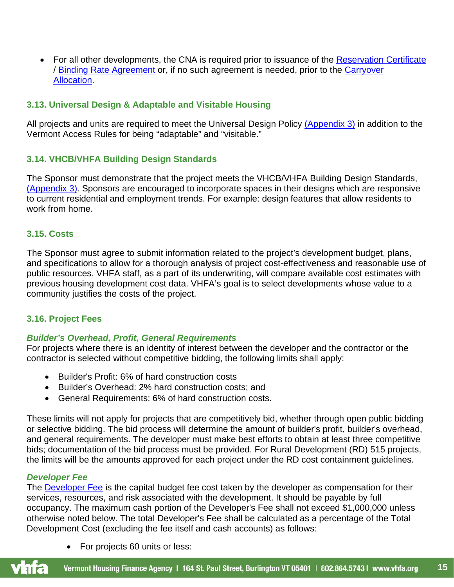• For all other developments, the CNA is required prior to issuance of the [Reservation Certificate](#page-34-0) / [Binding Rate Agreement](#page-27-2) or, if no such agreement is needed, prior to the [Carryover](#page-27-4)  [Allocation.](#page-27-4)

## <span id="page-14-0"></span>**3.13. Universal Design & Adaptable and Visitable Housing**

All projects and units are required to meet the Universal Design Policy [\(Appendix 3\)](#page-41-0) in addition to the Vermont Access Rules for being "adaptable" and "visitable."

## <span id="page-14-1"></span>**3.14. VHCB/VHFA Building Design Standards**

The Sponsor must demonstrate that the project meets the VHCB/VHFA Building Design Standards, [\(Appendix 3\).](#page-41-0) Sponsors are encouraged to incorporate spaces in their designs which are responsive to current residential and employment trends. For example: design features that allow residents to work from home.

## <span id="page-14-2"></span>**3.15. Costs**

The Sponsor must agree to submit information related to the project's development budget, plans, and specifications to allow for a thorough analysis of project cost-effectiveness and reasonable use of public resources. VHFA staff, as a part of its underwriting, will compare available cost estimates with previous housing development cost data. VHFA's goal is to select developments whose value to a community justifies the costs of the project.

## <span id="page-14-3"></span>**3.16. Project Fees**

## *Builder's Overhead, Profit, General Requirements*

For projects where there is an identity of interest between the developer and the contractor or the contractor is selected without competitive bidding, the following limits shall apply:

- Builder's Profit: 6% of hard construction costs
- Builder's Overhead: 2% hard construction costs; and
- General Requirements: 6% of hard construction costs.

These limits will not apply for projects that are competitively bid, whether through open public bidding or selective bidding. The bid process will determine the amount of builder's profit, builder's overhead, and general requirements. The developer must make best efforts to obtain at least three competitive bids; documentation of the bid process must be provided. For Rural Development (RD) 515 projects, the limits will be the amounts approved for each project under the RD cost containment guidelines.

#### *Developer Fee*

The **Developer Fee** is the capital budget fee cost taken by the developer as compensation for their services, resources, and risk associated with the development. It should be payable by full occupancy. The maximum cash portion of the Developer's Fee shall not exceed \$1,000,000 unless otherwise noted below. The total Developer's Fee shall be calculated as a percentage of the Total Development Cost (excluding the fee itself and cash accounts) as follows:

• For projects 60 units or less:

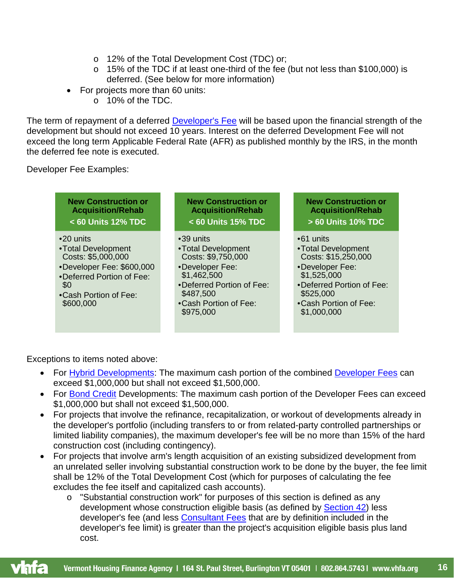- o 12% of the Total Development Cost (TDC) or;
- o 15% of the TDC if at least one-third of the fee (but not less than \$100,000) is deferred. (See below for more information)
- For projects more than 60 units:
	- o 10% of the TDC.

The term of repayment of a deferred **Developer's Fee** will be based upon the financial strength of the development but should not exceed 10 years. Interest on the deferred Development Fee will not exceed the long term Applicable Federal Rate (AFR) as published monthly by the IRS, in the month the deferred fee note is executed.

Developer Fee Examples:



Exceptions to items noted above:

- For [Hybrid Developments:](#page-32-2) The maximum cash portion of the combined [Developer Fees](#page-29-3) can exceed \$1,000,000 but shall not exceed \$1,500,000.
- For [Bond Credit](#page-27-0) Developments: The maximum cash portion of the Developer Fees can exceed \$1,000,000 but shall not exceed \$1,500,000.
- For projects that involve the refinance, recapitalization, or workout of developments already in the developer's portfolio (including transfers to or from related-party controlled partnerships or limited liability companies), the maximum developer's fee will be no more than 15% of the hard construction cost (including contingency).
- For projects that involve arm's length acquisition of an existing subsidized development from an unrelated seller involving substantial construction work to be done by the buyer, the fee limit shall be 12% of the Total Development Cost (which for purposes of calculating the fee excludes the fee itself and capitalized cash accounts).
	- o "Substantial construction work" for purposes of this section is defined as any development whose construction eligible basis (as defined by [Section 42\)](#page-35-0) less developer's fee (and less [Consultant Fees](#page-28-6) that are by definition included in the developer's fee limit) is greater than the project's acquisition eligible basis plus land cost.

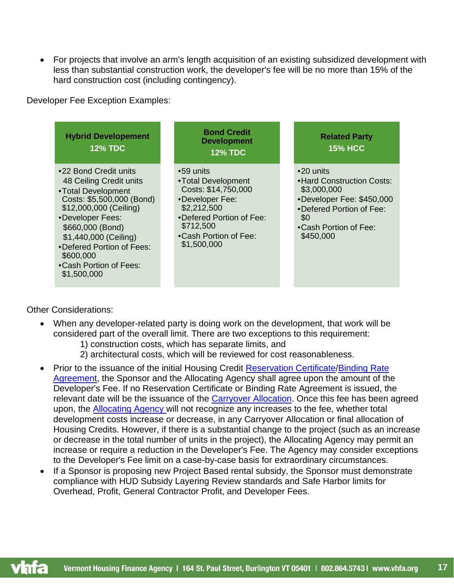• For projects that involve an arm's length acquisition of an existing subsidized development with less than substantial construction work, the developer's fee will be no more than 15% of the hard construction cost (including contingency).

Developer Fee Exception Examples:



Other Considerations:

- When any developer-related party is doing work on the development, that work will be considered part of the overall limit. There are two exceptions to this requirement:
	- 1) construction costs, which has separate limits, and
	- 2) architectural costs, which will be reviewed for cost reasonableness.
- Prior to the issuance of the initial Housing Credit [Reservation Certificate](#page-34-0)[/Binding Rate](#page-27-2)  [Agreement,](#page-27-2) the Sponsor and the Allocating Agency shall agree upon the amount of the Developer's Fee. If no Reservation Certificate or Binding Rate Agreement is issued, the relevant date will be the issuance of the [Carryover Allocation.](#page-27-4) Once this fee has been agreed upon, the [Allocating Agency w](#page-26-5)ill not recognize any increases to the fee, whether total development costs increase or decrease, in any Carryover Allocation or final allocation of Housing Credits. However, if there is a substantial change to the project (such as an increase or decrease in the total number of units in the project), the Allocating Agency may permit an increase or require a reduction in the Developer's Fee. The Agency may consider exceptions to the Developer's Fee limit on a case-by-case basis for extraordinary circumstances.
- If a Sponsor is proposing new Project Based rental subsidy, the Sponsor must demonstrate compliance with HUD Subsidy Layering Review standards and Safe Harbor limits for Overhead, Profit, General Contractor Profit, and Developer Fees.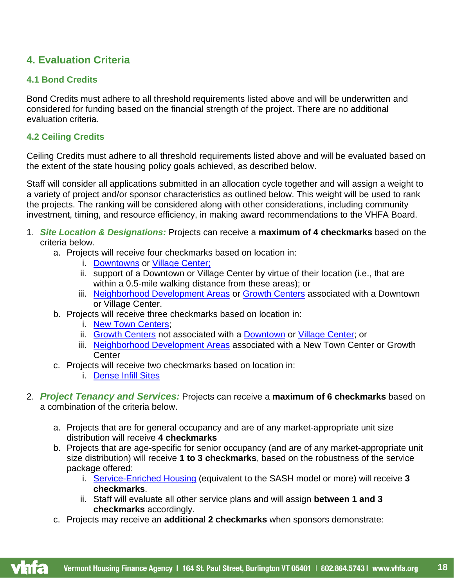# <span id="page-17-0"></span>**4. Evaluation Criteria**

# <span id="page-17-1"></span>**4.1 Bond Credits**

Bond Credits must adhere to all threshold requirements listed above and will be underwritten and considered for funding based on the financial strength of the project. There are no additional evaluation criteria.

# <span id="page-17-2"></span>**4.2 Ceiling Credits**

Ceiling Credits must adhere to all threshold requirements listed above and will be evaluated based on the extent of the state housing policy goals achieved, as described below.

Staff will consider all applications submitted in an allocation cycle together and will assign a weight to a variety of project and/or sponsor characteristics as outlined below. This weight will be used to rank the projects. The ranking will be considered along with other considerations, including community investment, timing, and resource efficiency, in making award recommendations to the VHFA Board.

- 1. *Site Location & Designations:* Projects can receive a **maximum of 4 checkmarks** based on the criteria below.
	- a. Projects will receive four checkmarks based on location in:
		- i. [Downtowns](#page-29-2) or [Village Center;](#page-36-0)
		- ii. support of a Downtown or Village Center by virtue of their location (i.e., that are within a 0.5-mile walking distance from these areas); or
		- iii. [Neighborhood Development Areas](#page-32-3) or [Growth Centers](#page-30-2) associated with a Downtown or Village Center.
	- b. Projects will receive three checkmarks based on location in:
		- i. [New Town Centers](#page-33-2);
		- ii. [Growth Centers](#page-30-2) not associated with a [Downtown](#page-29-2) or [Village Center;](#page-36-0) or
		- iii. [Neighborhood Development Areas](#page-32-3) associated with a New Town Center or Growth **Center**
	- c. Projects will receive two checkmarks based on location in:
		- i. [Dense Infill Sites](#page-28-7)
- 2. *Project Tenancy and Services:* Projects can receive a **maximum of 6 checkmarks** based on a combination of the criteria below.
	- a. Projects that are for general occupancy and are of any market-appropriate unit size distribution will receive **4 checkmarks**
	- b. Projects that are age-specific for senior occupancy (and are of any market-appropriate unit size distribution) will receive **1 to 3 checkmarks**, based on the robustness of the service package offered:
		- i. Service-Enriched Housing [\(equivalent to the SASH model or more\) will receive](#page-35-1) **3 [checkmarks](#page-35-1)**.
		- ii. Staff will evaluate all other service plans and will assign **between 1 and 3 checkmarks** accordingly.
	- c. Projects may receive an **additiona**l **2 checkmarks** when sponsors demonstrate: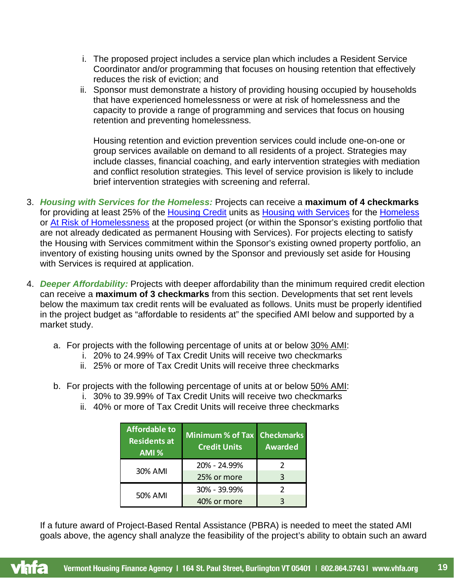- i. The proposed project includes a service plan which includes a Resident Service Coordinator and/or programming that focuses on housing retention that effectively reduces the risk of eviction; and
- ii. Sponsor must demonstrate a history of providing housing occupied by households that have experienced homelessness or were at risk of homelessness and the capacity to provide a range of programming and services that focus on housing retention and preventing homelessness.

Housing retention and eviction prevention services could include one-on-one or group services available on demand to all residents of a project. Strategies may include classes, financial coaching, and early intervention strategies with mediation and conflict resolution strategies. This level of service provision is likely to include brief intervention strategies with screening and referral.

- 3. *Housing with Services for the Homeless:* Projects can receive a **maximum of 4 checkmarks** for providing at least 25% of the [Housing Credit](#page-31-0) units as [Housing with Services](#page-31-1) for the [Homeless](#page-30-0) or [At Risk of Homelessness](#page-26-6) at the proposed project (or within the Sponsor's existing portfolio that are not already dedicated as permanent Housing with Services). For projects electing to satisfy the Housing with Services commitment within the Sponsor's existing owned property portfolio, an inventory of existing housing units owned by the Sponsor and previously set aside for Housing with Services is required at application.
- 4. *Deeper Affordability:* Projects with deeper affordability than the minimum required credit election can receive a **maximum of 3 checkmarks** from this section. Developments that set rent levels below the maximum tax credit rents will be evaluated as follows. Units must be properly identified in the project budget as "affordable to residents at" the specified AMI below and supported by a market study.
	- a. For projects with the following percentage of units at or below 30% AMI:
		- i. 20% to 24.99% of Tax Credit Units will receive two checkmarks
		- ii. 25% or more of Tax Credit Units will receive three checkmarks
	- b. For projects with the following percentage of units at or below 50% AMI:
		- i. 30% to 39.99% of Tax Credit Units will receive two checkmarks
		- ii. 40% or more of Tax Credit Units will receive three checkmarks

| <b>Affordable to</b><br><b>Residents at</b><br>AMI % | Minimum % of Tax Checkmarks<br><b>Credit Units</b> | <b>Awarded</b> |
|------------------------------------------------------|----------------------------------------------------|----------------|
|                                                      | 20% - 24.99%                                       |                |
| 30% AMI                                              | 25% or more                                        | ς              |
| 50% AMI                                              | 30% - 39.99%                                       |                |
|                                                      | 40% or more                                        |                |

If a future award of Project-Based Rental Assistance (PBRA) is needed to meet the stated AMI goals above, the agency shall analyze the feasibility of the project's ability to obtain such an award

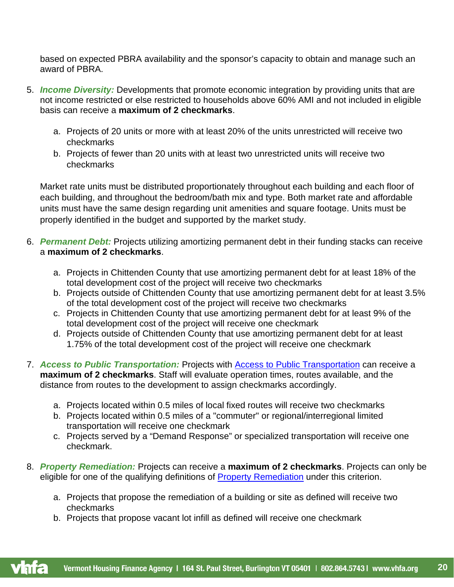based on expected PBRA availability and the sponsor's capacity to obtain and manage such an award of PBRA.

- 5. *Income Diversity:* Developments that promote economic integration by providing units that are not income restricted or else restricted to households above 60% AMI and not included in eligible basis can receive a **maximum of 2 checkmarks**.
	- a. Projects of 20 units or more with at least 20% of the units unrestricted will receive two checkmarks
	- b. Projects of fewer than 20 units with at least two unrestricted units will receive two checkmarks

Market rate units must be distributed proportionately throughout each building and each floor of each building, and throughout the bedroom/bath mix and type. Both market rate and affordable units must have the same design regarding unit amenities and square footage. Units must be properly identified in the budget and supported by the market study.

- 6. *Permanent Debt:* Projects utilizing amortizing permanent debt in their funding stacks can receive a **maximum of 2 checkmarks**.
	- a. Projects in Chittenden County that use amortizing permanent debt for at least 18% of the total development cost of the project will receive two checkmarks
	- b. Projects outside of Chittenden County that use amortizing permanent debt for at least 3.5% of the total development cost of the project will receive two checkmarks
	- c. Projects in Chittenden County that use amortizing permanent debt for at least 9% of the total development cost of the project will receive one checkmark
	- d. Projects outside of Chittenden County that use amortizing permanent debt for at least 1.75% of the total development cost of the project will receive one checkmark
- 7. *Access to Public Transportation:* Projects with Access to Public Transportation can receive a **maximum of 2 checkmarks**. Staff will evaluate operation times, routes available, and the distance from routes to the development to assign checkmarks accordingly.
	- a. Projects located within 0.5 miles of local fixed routes will receive two checkmarks
	- b. Projects located within 0.5 miles of a "commuter" or regional/interregional limited transportation will receive one checkmark
	- c. Projects served by a "Demand Response" or specialized transportation will receive one checkmark.
- 8. *[Property Remediation:](#page-33-3)* Projects can receive a **maximum of 2 checkmarks**. Projects can only be eligible for one of the qualifying definitions of [Property Remediation](#page-33-3) under this criterion.
	- a. Projects that propose the remediation of a building or site as defined will receive two checkmarks
	- b. Projects that propose vacant lot infill as defined will receive one checkmark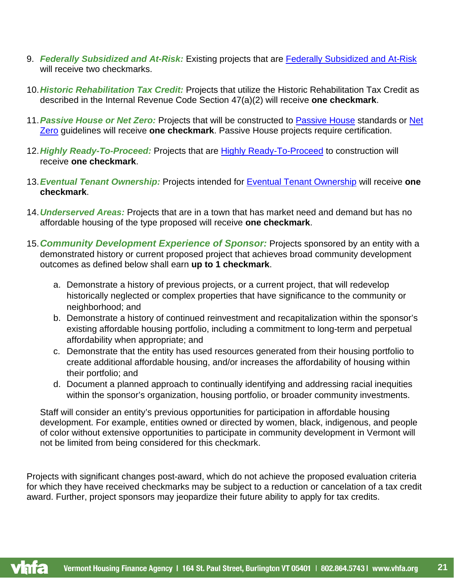- 9. *Federally Subsidized and At-Risk:* Existing projects that are [Federally Subsidized and At-Risk](#page-29-5) will receive two checkmarks.
- 10.*Historic Rehabilitation Tax Credit:* Projects that utilize the Historic Rehabilitation Tax Credit as described in the Internal Revenue Code Section 47(a)(2) will receive **one checkmark**.
- 11.*Passive House or Net Zero:* Projects that will be constructed to [Passive House](#page-33-4) standards or [Net](#page-33-5)  [Zero](#page-33-5) guidelines will receive **one checkmark**. Passive House projects require certification.
- 12.*Highly Ready-To-Proceed:* Projects that are [Highly Ready-To-Proceed](#page-30-3) to construction will receive **one checkmark**.
- 13.*Eventual Tenant Ownership:* Projects intended for [Eventual Tenant Ownership](#page-29-6) will receive **one checkmark**.
- 14.*Underserved Areas:* Projects that are in a town that has market need and demand but has no affordable housing of the type proposed will receive **one checkmark**.
- 15.*Community Development Experience of Sponsor:* Projects sponsored by an entity with a demonstrated history or current proposed project that achieves broad community development outcomes as defined below shall earn **up to 1 checkmark**.
	- a. Demonstrate a history of previous projects, or a current project, that will redevelop historically neglected or complex properties that have significance to the community or neighborhood; and
	- b. Demonstrate a history of continued reinvestment and recapitalization within the sponsor's existing affordable housing portfolio, including a commitment to long-term and perpetual affordability when appropriate; and
	- c. Demonstrate that the entity has used resources generated from their housing portfolio to create additional affordable housing, and/or increases the affordability of housing within their portfolio; and
	- d. Document a planned approach to continually identifying and addressing racial inequities within the sponsor's organization, housing portfolio, or broader community investments.

Staff will consider an entity's previous opportunities for participation in affordable housing development. For example, entities owned or directed by women, black, indigenous, and people of color without extensive opportunities to participate in community development in Vermont will not be limited from being considered for this checkmark.

Projects with significant changes post-award, which do not achieve the proposed evaluation criteria for which they have received checkmarks may be subject to a reduction or cancelation of a tax credit award. Further, project sponsors may jeopardize their future ability to apply for tax credits.

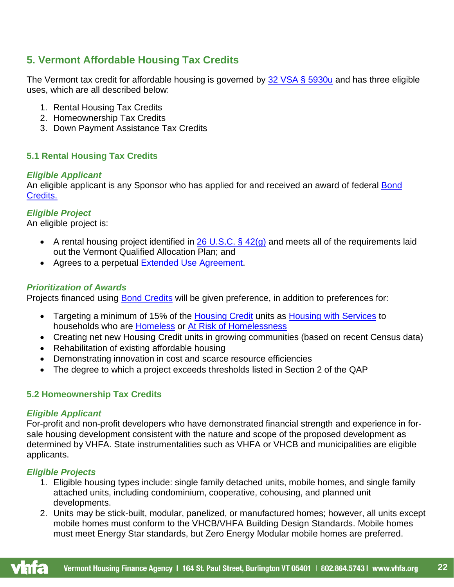# <span id="page-21-0"></span>**5. Vermont Affordable Housing Tax Credits**

The Vermont tax credit for affordable housing is governed by [32 VSA § 5930u](https://legislature.vermont.gov/statutes/section/32/151/05930u) and has three eligible uses, which are all described below:

- 1. Rental Housing Tax Credits
- 2. Homeownership Tax Credits
- 3. Down Payment Assistance Tax Credits

# <span id="page-21-1"></span>**5.1 Rental Housing Tax Credits**

# *Eligible Applicant*

An eligible applicant is any Sponsor who has applied for and received an award of federal Bond [Credits.](#page-27-0)

# *Eligible Project*

An eligible project is:

- A rental housing project identified in 26 U.S.C.  $\S$  42(g) and meets all of the requirements laid out the Vermont Qualified Allocation Plan; and
- Agrees to a perpetual **Extended Use Agreement**.

# *Prioritization of Awards*

Projects financed using [Bond Credits](#page-27-0) will be given preference, in addition to preferences for:

- Targeting a minimum of 15% of the [Housing Credit](#page-31-0) units as [Housing with Services](#page-31-1) to households who are [Homeless](#page-30-0) or [At Risk of Homelessness](#page-26-6)
- Creating net new Housing Credit units in growing communities (based on recent Census data)
- Rehabilitation of existing affordable housing
- Demonstrating innovation in cost and scarce resource efficiencies
- The degree to which a project exceeds thresholds listed in Section 2 of the QAP

# <span id="page-21-2"></span>**5.2 Homeownership Tax Credits**

## *Eligible Applicant*

For-profit and non-profit developers who have demonstrated financial strength and experience in forsale housing development consistent with the nature and scope of the proposed development as determined by VHFA. State instrumentalities such as VHFA or VHCB and municipalities are eligible applicants.

# *Eligible Projects*

- 1. Eligible housing types include: single family detached units, mobile homes, and single family attached units, including condominium, cooperative, cohousing, and planned unit developments.
- <span id="page-21-3"></span>2. Units may be stick-built, modular, panelized, or manufactured homes; however, all units except mobile homes must conform to the VHCB/VHFA Building Design Standards. Mobile homes must meet Energy Star standards, but Zero Energy Modular mobile homes are preferred.

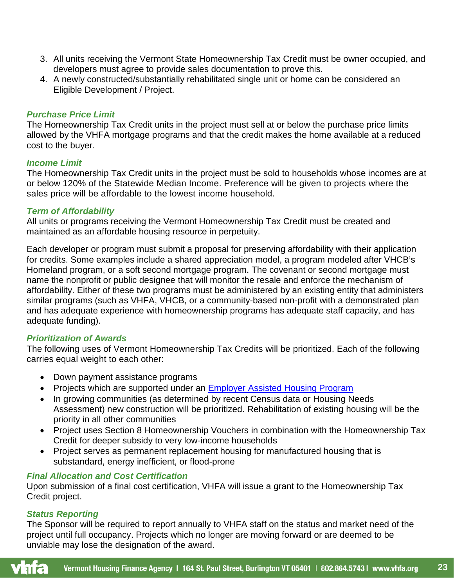- 3. All units receiving the Vermont State Homeownership Tax Credit must be owner occupied, and developers must agree to provide sales documentation to prove this.
- 4. A newly constructed/substantially rehabilitated single unit or home can be considered an Eligible Development / Project.

## *Purchase Price Limit*

The Homeownership Tax Credit units in the project must sell at or below the purchase price limits allowed by the VHFA mortgage programs and that the credit makes the home available at a reduced cost to the buyer.

## *Income Limit*

The Homeownership Tax Credit units in the project must be sold to households whose incomes are at or below 120% of the Statewide Median Income. Preference will be given to projects where the sales price will be affordable to the lowest income household.

## *Term of Affordability*

All units or programs receiving the Vermont Homeownership Tax Credit must be created and maintained as an affordable housing resource in perpetuity.

Each developer or program must submit a proposal for preserving affordability with their application for credits. Some examples include a shared appreciation model, a program modeled after VHCB's Homeland program, or a soft second mortgage program. The covenant or second mortgage must name the nonprofit or public designee that will monitor the resale and enforce the mechanism of affordability. Either of these two programs must be administered by an existing entity that administers similar programs (such as VHFA, VHCB, or a community-based non-profit with a demonstrated plan and has adequate experience with homeownership programs has adequate staff capacity, and has adequate funding).

## *Prioritization of Awards*

The following uses of Vermont Homeownership Tax Credits will be prioritized. Each of the following carries equal weight to each other:

- Down payment assistance programs
- Projects which are supported under an [Employer Assisted Housing Program](#page-29-7)
- In growing communities (as determined by recent Census data or Housing Needs Assessment) new construction will be prioritized. Rehabilitation of existing housing will be the priority in all other communities
- Project uses Section 8 Homeownership Vouchers in combination with the Homeownership Tax Credit for deeper subsidy to very low-income households
- Project serves as permanent replacement housing for manufactured housing that is substandard, energy inefficient, or flood-prone

## *Final Allocation and Cost Certification*

Upon submission of a final cost certification, VHFA will issue a grant to the Homeownership Tax Credit project.

## *Status Reporting*

The Sponsor will be required to report annually to VHFA staff on the status and market need of the project until full occupancy. Projects which no longer are moving forward or are deemed to be unviable may lose the designation of the award.

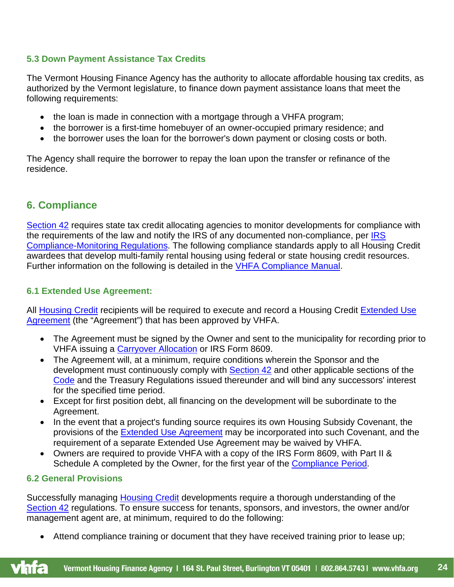# <span id="page-23-0"></span>**5.3 Down Payment Assistance Tax Credits**

The Vermont Housing Finance Agency has the authority to allocate affordable housing tax credits, as authorized by the Vermont legislature, to finance down payment assistance loans that meet the following requirements:

- the loan is made in connection with a mortgage through a VHFA program;
- the borrower is a first-time homebuyer of an owner-occupied primary residence; and
- the borrower uses the loan for the borrower's down payment or closing costs or both.

The Agency shall require the borrower to repay the loan upon the transfer or refinance of the residence.

# <span id="page-23-1"></span>**6. Compliance**

[Section 42](#page-35-0) requires state tax credit allocating agencies to monitor developments for compliance with the requirements of the law and notify the [IRS](https://www.vhfa.org/documents/multifamily/irs_proposed_compliance_monitoring_regs_7_2020.pdf) of any documented non-compliance, per IRS [Compliance-Monitoring Regulations.](https://www.vhfa.org/documents/multifamily/irs_proposed_compliance_monitoring_regs_7_2020.pdf) The following compliance standards apply to all Housing Credit awardees that develop multi-family rental housing using federal or state housing credit resources. Further information on the following is detailed in the [VHFA Compliance Manual.](https://www.vhfa.org/documents/multifamily/vhfa_lihtc_compliance_manual_-_9_2019_update_11_2019_correction.pdf)

## <span id="page-23-2"></span>**6.1 Extended Use Agreement:**

All [Housing Credit](#page-31-0) recipients will be required to execute and record a Housing Credit Extended Use [Agreement](#page-29-4) (the "Agreement") that has been approved by VHFA.

- The Agreement must be signed by the Owner and sent to the municipality for recording prior to VHFA issuing a [Carryover Allocation](#page-27-4) or IRS Form 8609.
- The Agreement will, at a minimum, require conditions wherein the Sponsor and the development must continuously comply with **Section 42** and other applicable sections of the [Code](#page-28-4) and the Treasury Regulations issued thereunder and will bind any successors' interest for the specified time period.
- Except for first position debt, all financing on the development will be subordinate to the Agreement.
- In the event that a project's funding source requires its own Housing Subsidy Covenant, the provisions of the [Extended Use Agreement](#page-29-4) may be incorporated into such Covenant, and the requirement of a separate Extended Use Agreement may be waived by VHFA.
- Owners are required to provide VHFA with a copy of the IRS Form 8609, with Part II & Schedule A completed by the Owner, for the first year of the [Compliance Period.](#page-28-5)

## <span id="page-23-3"></span>**6.2 General Provisions**

Successfully managing [Housing Credit](#page-31-0) developments require a thorough understanding of the [Section 42](#page-35-0) regulations. To ensure success for tenants, sponsors, and investors, the owner and/or management agent are, at minimum, required to do the following:

• Attend compliance training or document that they have received training prior to lease up;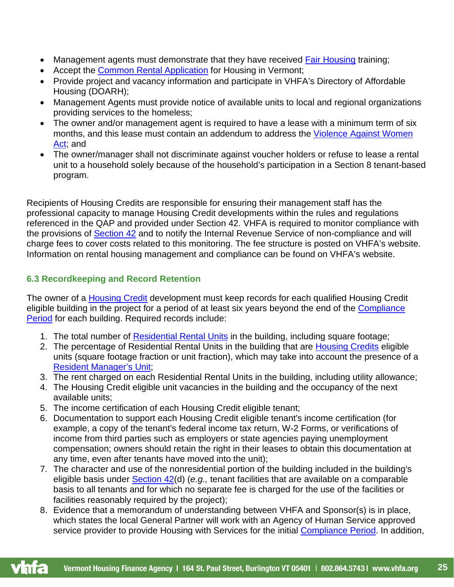- Management agents must demonstrate that they have received **Fair Housing** training;
- Accept the [Common Rental Application](#page-28-8) for Housing in Vermont;
- Provide project and vacancy information and participate in VHFA's Directory of Affordable Housing (DOARH);
- Management Agents must provide notice of available units to local and regional organizations providing services to the homeless;
- The owner and/or management agent is required to have a lease with a minimum term of six months, and this lease must contain an addendum to address the [Violence Against Women](#page-37-0)  [Act;](#page-37-0) and
- The owner/manager shall not discriminate against voucher holders or refuse to lease a rental unit to a household solely because of the household's participation in a Section 8 tenant-based program.

Recipients of Housing Credits are responsible for ensuring their management staff has the professional capacity to manage Housing Credit developments within the rules and regulations referenced in the QAP and provided under Section 42. VHFA is required to monitor compliance with the provisions of [Section 42](#page-35-0) and to notify the Internal Revenue Service of non-compliance and will charge fees to cover costs related to this monitoring. The fee structure is posted on VHFA's website. Information on rental housing management and compliance can be found on VHFA's website.

# <span id="page-24-0"></span>**6.3 Recordkeeping and Record Retention**

The owner of a [Housing Credit](#page-31-0) development must keep records for each qualified Housing Credit eligible building in the project for a period of at least six years beyond the end of the Compliance [Period](#page-28-5) for each building. Required records include:

- 1. The total number of [Residential Rental Units](#page-34-2) in the building, including square footage;
- 2. The percentage of Residential Rental Units in the building that are [Housing Credits](#page-31-0) eligible units (square footage fraction or unit fraction), which may take into account the presence of a [Resident Manager's Unit;](#page-34-3)
- 3. The rent charged on each Residential Rental Units in the building, including utility allowance;
- 4. The Housing Credit eligible unit vacancies in the building and the occupancy of the next available units;
- 5. The income certification of each Housing Credit eligible tenant;
- 6. Documentation to support each Housing Credit eligible tenant's income certification (for example, a copy of the tenant's federal income tax return, W-2 Forms, or verifications of income from third parties such as employers or state agencies paying unemployment compensation; owners should retain the right in their leases to obtain this documentation at any time, even after tenants have moved into the unit);
- 7. The character and use of the nonresidential portion of the building included in the building's eligible basis under [Section 42\(](#page-35-0)d) (*e.g.,* tenant facilities that are available on a comparable basis to all tenants and for which no separate fee is charged for the use of the facilities or facilities reasonably required by the project);
- 8. Evidence that a memorandum of understanding between VHFA and Sponsor(s) is in place, which states the local General Partner will work with an Agency of Human Service approved service provider to provide Housing with Services for the initial [Compliance Period.](#page-28-5) In addition,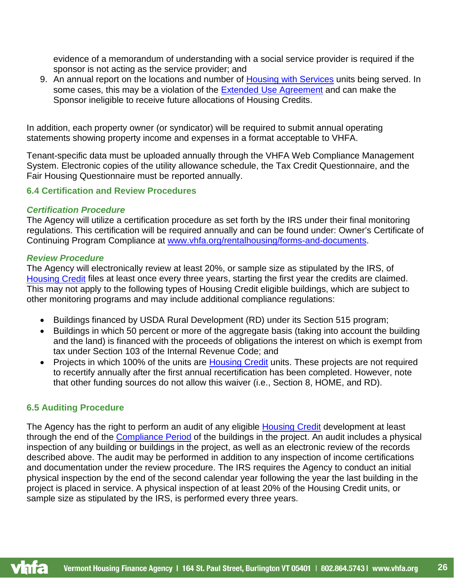evidence of a memorandum of understanding with a social service provider is required if the sponsor is not acting as the service provider; and

9. An annual report on the locations and number of [Housing with Services](#page-31-1) units being served. In some cases, this may be a violation of the [Extended Use Agreement](#page-29-4) and can make the Sponsor ineligible to receive future allocations of Housing Credits.

In addition, each property owner (or syndicator) will be required to submit annual operating statements showing property income and expenses in a format acceptable to VHFA.

Tenant-specific data must be uploaded annually through the VHFA Web Compliance Management System. Electronic copies of the utility allowance schedule, the Tax Credit Questionnaire, and the Fair Housing Questionnaire must be reported annually.

## <span id="page-25-0"></span>**6.4 Certification and Review Procedures**

## *Certification Procedure*

The Agency will utilize a certification procedure as set forth by the IRS under their final monitoring regulations. This certification will be required annually and can be found under: Owner's Certificate of Continuing Program Compliance at [www.vhfa.org/rentalhousing/forms-and-documents.](file://vhfa-fp02/VHFA/DEVEL/lihtc/FORMS/2020/www.vhfa.org/rentalhousing/forms-and-documents)

## *Review Procedure*

The Agency will electronically review at least 20%, or sample size as stipulated by the IRS, of [Housing Credit](#page-31-0) files at least once every three years, starting the first year the credits are claimed. This may not apply to the following types of Housing Credit eligible buildings, which are subject to other monitoring programs and may include additional compliance regulations:

- Buildings financed by USDA Rural Development (RD) under its Section 515 program;
- Buildings in which 50 percent or more of the aggregate basis (taking into account the building and the land) is financed with the proceeds of obligations the interest on which is exempt from tax under Section 103 of the Internal Revenue Code; and
- Projects in which 100% of the units are [Housing Credit](#page-31-0) units. These projects are not required to recertify annually after the first annual recertification has been completed. However, note that other funding sources do not allow this waiver (i.e., Section 8, HOME, and RD).

## <span id="page-25-1"></span>**6.5 Auditing Procedure**

The Agency has the right to perform an audit of any eligible [Housing Credit](#page-31-0) development at least through the end of the [Compliance Period](#page-28-5) of the buildings in the project. An audit includes a physical inspection of any building or buildings in the project, as well as an electronic review of the records described above. The audit may be performed in addition to any inspection of income certifications and documentation under the review procedure. The IRS requires the Agency to conduct an initial physical inspection by the end of the second calendar year following the year the last building in the project is placed in service. A physical inspection of at least 20% of the Housing Credit units, or sample size as stipulated by the IRS, is performed every three years.

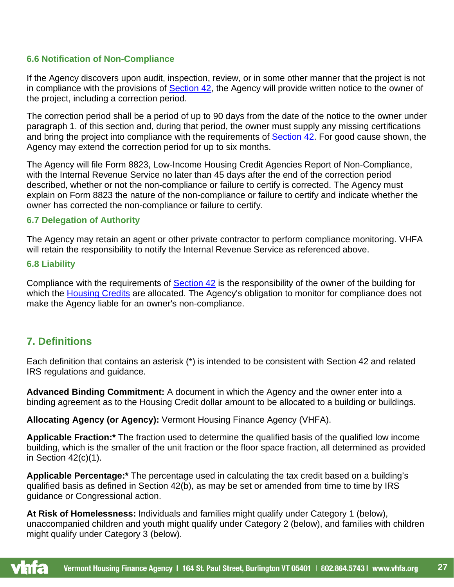## <span id="page-26-0"></span>**6.6 Notification of Non-Compliance**

If the Agency discovers upon audit, inspection, review, or in some other manner that the project is not in compliance with the provisions of [Section 42,](#page-35-0) the Agency will provide written notice to the owner of the project, including a correction period.

The correction period shall be a period of up to 90 days from the date of the notice to the owner under paragraph 1. of this section and, during that period, the owner must supply any missing certifications and bring the project into compliance with the requirements of [Section 42.](#page-35-0) For good cause shown, the Agency may extend the correction period for up to six months.

The Agency will file Form 8823, Low-Income Housing Credit Agencies Report of Non-Compliance, with the Internal Revenue Service no later than 45 days after the end of the correction period described, whether or not the non-compliance or failure to certify is corrected. The Agency must explain on Form 8823 the nature of the non-compliance or failure to certify and indicate whether the owner has corrected the non-compliance or failure to certify.

## <span id="page-26-1"></span>**6.7 Delegation of Authority**

The Agency may retain an agent or other private contractor to perform compliance monitoring. VHFA will retain the responsibility to notify the Internal Revenue Service as referenced above.

## <span id="page-26-2"></span>**6.8 Liability**

Compliance with the requirements of **Section 42** is the responsibility of the owner of the building for which the [Housing Credits](#page-31-0) are allocated. The Agency's obligation to monitor for compliance does not make the Agency liable for an owner's non-compliance.

# <span id="page-26-3"></span>**7. Definitions**

Each definition that contains an asterisk (\*) is intended to be consistent with Section 42 and related IRS regulations and guidance.

<span id="page-26-4"></span>**Advanced Binding Commitment:** A document in which the Agency and the owner enter into a binding agreement as to the Housing Credit dollar amount to be allocated to a building or buildings.

<span id="page-26-5"></span>**Allocating Agency (or Agency):** Vermont Housing Finance Agency (VHFA).

**Applicable Fraction:\*** The fraction used to determine the qualified basis of the qualified low income building, which is the smaller of the unit fraction or the floor space fraction, all determined as provided in Section  $42(c)(1)$ .

**Applicable Percentage:\*** The percentage used in calculating the tax credit based on a building's qualified basis as defined in Section 42(b), as may be set or amended from time to time by IRS guidance or Congressional action.

<span id="page-26-6"></span>**At Risk of Homelessness:** Individuals and families might qualify under Category 1 (below), unaccompanied children and youth might qualify under Category 2 (below), and families with children might qualify under Category 3 (below).

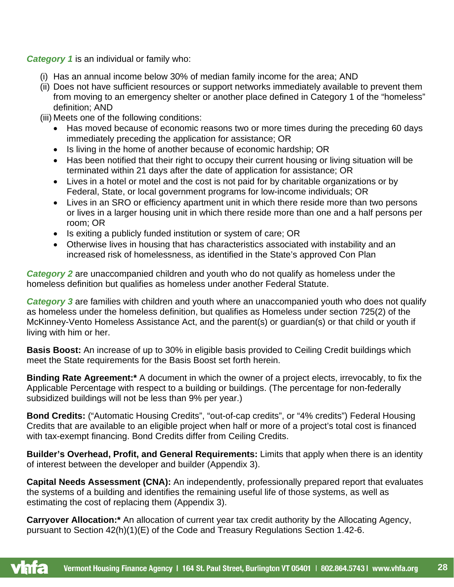*Category 1* is an individual or family who:

- (i) Has an annual income below 30% of median family income for the area; AND
- (ii) Does not have sufficient resources or support networks immediately available to prevent them from moving to an emergency shelter or another place defined in Category 1 of the "homeless" definition; AND
- (iii) Meets one of the following conditions:
	- Has moved because of economic reasons two or more times during the preceding 60 days immediately preceding the application for assistance; OR
	- Is living in the home of another because of economic hardship; OR
	- Has been notified that their right to occupy their current housing or living situation will be terminated within 21 days after the date of application for assistance; OR
	- Lives in a hotel or motel and the cost is not paid for by charitable organizations or by Federal, State, or local government programs for low-income individuals; OR
	- Lives in an SRO or efficiency apartment unit in which there reside more than two persons or lives in a larger housing unit in which there reside more than one and a half persons per room; OR
	- Is exiting a publicly funded institution or system of care; OR
	- Otherwise lives in housing that has characteristics associated with instability and an increased risk of homelessness, as identified in the State's approved Con Plan

**Category 2** are unaccompanied children and youth who do not qualify as homeless under the homeless definition but qualifies as homeless under another Federal Statute.

**Category 3** are families with children and youth where an unaccompanied youth who does not qualify as homeless under the homeless definition, but qualifies as Homeless under section 725(2) of the McKinney-Vento Homeless Assistance Act, and the parent(s) or guardian(s) or that child or youth if living with him or her.

<span id="page-27-1"></span>**Basis Boost:** An increase of up to 30% in eligible basis provided to Ceiling Credit buildings which meet the State requirements for the Basis Boost set forth herein.

<span id="page-27-2"></span>**Binding Rate Agreement:\*** A document in which the owner of a project elects, irrevocably, to fix the Applicable Percentage with respect to a building or buildings. (The percentage for non-federally subsidized buildings will not be less than 9% per year.)

<span id="page-27-0"></span>**Bond Credits:** ("Automatic Housing Credits", "out-of-cap credits", or "4% credits") Federal Housing Credits that are available to an eligible project when half or more of a project's total cost is financed with tax-exempt financing. Bond Credits differ from Ceiling Credits.

**Builder's Overhead, Profit, and General Requirements:** Limits that apply when there is an identity of interest between the developer and builder (Appendix 3).

<span id="page-27-3"></span>**Capital Needs Assessment (CNA):** An independently, professionally prepared report that evaluates the systems of a building and identifies the remaining useful life of those systems, as well as estimating the cost of replacing them (Appendix 3).

<span id="page-27-4"></span>**Carryover Allocation:\*** An allocation of current year tax credit authority by the Allocating Agency, pursuant to Section 42(h)(1)(E) of the Code and Treasury Regulations Section 1.42-6.

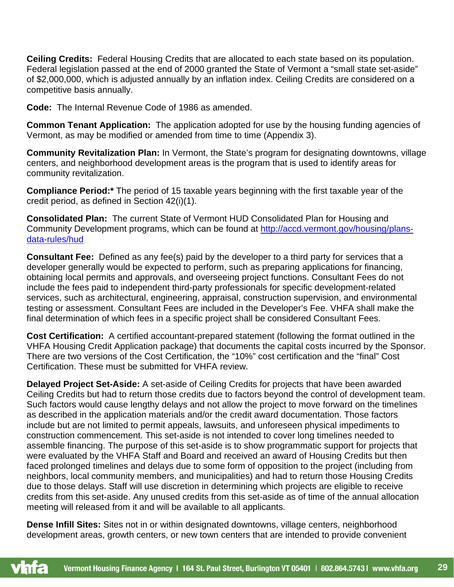<span id="page-28-0"></span>**Ceiling Credits:** Federal Housing Credits that are allocated to each state based on its population. Federal legislation passed at the end of 2000 granted the State of Vermont a "small state set-aside" of \$2,000,000, which is adjusted annually by an inflation index. Ceiling Credits are considered on a competitive basis annually.

<span id="page-28-4"></span>**Code:** The Internal Revenue Code of 1986 as amended.

<span id="page-28-8"></span>**Common Tenant Application:** The application adopted for use by the housing funding agencies of Vermont, as may be modified or amended from time to time (Appendix 3).

<span id="page-28-1"></span>**Community Revitalization Plan:** In Vermont, the State's program for designating downtowns, village centers, and neighborhood development areas is the program that is used to identify areas for community revitalization.

<span id="page-28-5"></span>**Compliance Period:\*** The period of 15 taxable years beginning with the first taxable year of the credit period, as defined in Section 42(i)(1).

**Consolidated Plan:** The current State of Vermont HUD Consolidated Plan for Housing and Community Development programs, which can be found at [http://accd.vermont.gov/housing/plans](http://accd.vermont.gov/housing/plans-data-rules/hud)[data-rules/hud](http://accd.vermont.gov/housing/plans-data-rules/hud)

<span id="page-28-6"></span>**Consultant Fee:** Defined as any fee(s) paid by the developer to a third party for services that a developer generally would be expected to perform, such as preparing applications for financing, obtaining local permits and approvals, and overseeing project functions. Consultant Fees do not include the fees paid to independent third-party professionals for specific development-related services, such as architectural, engineering, appraisal, construction supervision, and environmental testing or assessment. Consultant Fees are included in the Developer's Fee. VHFA shall make the final determination of which fees in a specific project shall be considered Consultant Fees.

<span id="page-28-3"></span>**Cost Certification:** A certified accountant-prepared statement (following the format outlined in the VHFA Housing Credit Application package) that documents the capital costs incurred by the Sponsor. There are two versions of the Cost Certification, the "10%" cost certification and the "final" Cost Certification. These must be submitted for VHFA review.

<span id="page-28-2"></span>**Delayed Project Set-Aside:** A set-aside of Ceiling Credits for projects that have been awarded Ceiling Credits but had to return those credits due to factors beyond the control of development team. Such factors would cause lengthy delays and not allow the project to move forward on the timelines as described in the application materials and/or the credit award documentation. Those factors include but are not limited to permit appeals, lawsuits, and unforeseen physical impediments to construction commencement. This set-aside is not intended to cover long timelines needed to assemble financing. The purpose of this set-aside is to show programmatic support for projects that were evaluated by the VHFA Staff and Board and received an award of Housing Credits but then faced prolonged timelines and delays due to some form of opposition to the project (including from neighbors, local community members, and municipalities) and had to return those Housing Credits due to those delays. Staff will use discretion in determining which projects are eligible to receive credits from this set-aside. Any unused credits from this set-aside as of time of the annual allocation meeting will released from it and will be available to all applicants.

<span id="page-28-7"></span>**Dense Infill Sites:** Sites not in or within designated downtowns, village centers, neighborhood development areas, growth centers, or new town centers that are intended to provide convenient

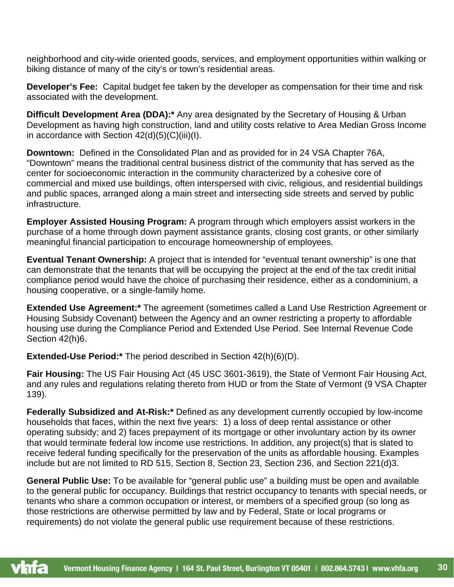neighborhood and city-wide oriented goods, services, and employment opportunities within walking or biking distance of many of the city's or town's residential areas.

<span id="page-29-3"></span>**Developer's Fee:** Capital budget fee taken by the developer as compensation for their time and risk associated with the development.

<span id="page-29-1"></span>**Difficult Development Area (DDA):\*** Any area designated by the Secretary of Housing & Urban Development as having high construction, land and utility costs relative to Area Median Gross Income in accordance with Section 42(d)(5)(C)(iii)(I).

<span id="page-29-2"></span>**Downtown:** Defined in the Consolidated Plan and as provided for in 24 VSA Chapter 76A, "Downtown" means the traditional central business district of the community that has served as the center for socioeconomic interaction in the community characterized by a cohesive core of commercial and mixed use buildings, often interspersed with civic, religious, and residential buildings and public spaces, arranged along a main street and intersecting side streets and served by public infrastructure.

<span id="page-29-7"></span>**Employer Assisted Housing Program:** A program through which employers assist workers in the purchase of a home through down payment assistance grants, closing cost grants, or other similarly meaningful financial participation to encourage homeownership of employees.

<span id="page-29-6"></span>**Eventual Tenant Ownership:** A project that is intended for "eventual tenant ownership" is one that can demonstrate that the tenants that will be occupying the project at the end of the tax credit initial compliance period would have the choice of purchasing their residence, either as a condominium, a housing cooperative, or a single-family home.

<span id="page-29-4"></span>**Extended Use Agreement:\*** The agreement (sometimes called a Land Use Restriction Agreement or Housing Subsidy Covenant) between the Agency and an owner restricting a property to affordable housing use during the Compliance Period and Extended Use Period. See Internal Revenue Code Section 42(h)6.

**Extended-Use Period:\*** The period described in Section 42(h)(6)(D).

<span id="page-29-8"></span>**Fair Housing:** The US Fair Housing Act (45 USC 3601-3619), the State of Vermont Fair Housing Act, and any rules and regulations relating thereto from HUD or from the State of Vermont (9 VSA Chapter 139).

<span id="page-29-5"></span>**Federally Subsidized and At-Risk:\*** Defined as any development currently occupied by low-income households that faces, within the next five years: 1) a loss of deep rental assistance or other operating subsidy; and 2) faces prepayment of its mortgage or other involuntary action by its owner that would terminate federal low income use restrictions. In addition, any project(s) that is slated to receive federal funding specifically for the preservation of the units as affordable housing. Examples include but are not limited to RD 515, Section 8, Section 23, Section 236, and Section 221(d)3.

<span id="page-29-0"></span>**General Public Use:** To be available for "general public use" a building must be open and available to the general public for occupancy. Buildings that restrict occupancy to tenants with special needs, or tenants who share a common occupation or interest, or members of a specified group (so long as those restrictions are otherwise permitted by law and by Federal, State or local programs or requirements) do not violate the general public use requirement because of these restrictions.

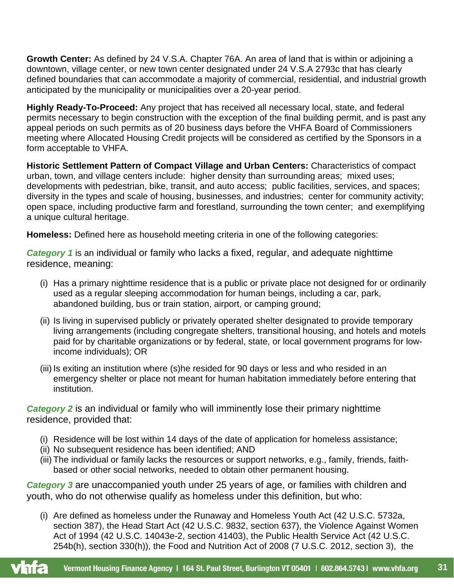<span id="page-30-2"></span>**Growth Center:** As defined by 24 V.S.A. Chapter 76A. An area of land that is within or adjoining a downtown, village center, or new town center designated under 24 V.S.A 2793c that has clearly defined boundaries that can accommodate a majority of commercial, residential, and industrial growth anticipated by the municipality or municipalities over a 20-year period.

<span id="page-30-3"></span>**Highly Ready-To-Proceed:** Any project that has received all necessary local, state, and federal permits necessary to begin construction with the exception of the final building permit, and is past any appeal periods on such permits as of 20 business days before the VHFA Board of Commissioners meeting where Allocated Housing Credit projects will be considered as certified by the Sponsors in a form acceptable to VHFA.

<span id="page-30-1"></span>**Historic Settlement Pattern of Compact Village and Urban Centers:** Characteristics of compact urban, town, and village centers include: higher density than surrounding areas; mixed uses; developments with pedestrian, bike, transit, and auto access; public facilities, services, and spaces; diversity in the types and scale of housing, businesses, and industries; center for community activity; open space, including productive farm and forestland, surrounding the town center; and exemplifying a unique cultural heritage.

<span id="page-30-0"></span>**Homeless:** Defined here as household meeting criteria in one of the following categories:

*Category 1* is an individual or family who lacks a fixed, regular, and adequate nighttime residence, meaning:

- (i) Has a primary nighttime residence that is a public or private place not designed for or ordinarily used as a regular sleeping accommodation for human beings, including a car, park, abandoned building, bus or train station, airport, or camping ground;
- (ii) Is living in supervised publicly or privately operated shelter designated to provide temporary living arrangements (including congregate shelters, transitional housing, and hotels and motels paid for by charitable organizations or by federal, state, or local government programs for lowincome individuals); OR
- (iii) Is exiting an institution where (s)he resided for 90 days or less and who resided in an emergency shelter or place not meant for human habitation immediately before entering that institution.

*Category 2* is an individual or family who will imminently lose their primary nighttime residence, provided that:

- (i) Residence will be lost within 14 days of the date of application for homeless assistance;
- (ii) No subsequent residence has been identified; AND
- (iii) The individual or family lacks the resources or support networks, e.g., family, friends, faithbased or other social networks, needed to obtain other permanent housing.

*Category 3* are unaccompanied youth under 25 years of age, or families with children and youth, who do not otherwise qualify as homeless under this definition, but who:

(i) Are defined as homeless under the Runaway and Homeless Youth Act (42 U.S.C. 5732a, section 387), the Head Start Act (42 U.S.C. 9832, section 637), the Violence Against Women Act of 1994 (42 U.S.C. 14043e-2, section 41403), the Public Health Service Act (42 U.S.C. 254b(h), section 330(h)), the Food and Nutrition Act of 2008 (7 U.S.C. 2012, section 3), the

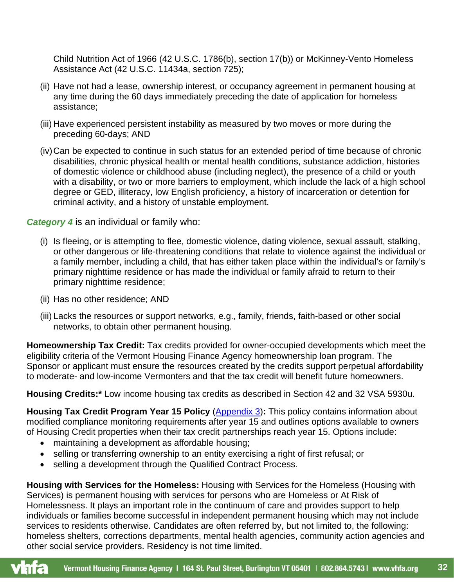Child Nutrition Act of 1966 (42 U.S.C. 1786(b), section 17(b)) or McKinney-Vento Homeless Assistance Act (42 U.S.C. 11434a, section 725);

- (ii) Have not had a lease, ownership interest, or occupancy agreement in permanent housing at any time during the 60 days immediately preceding the date of application for homeless assistance;
- (iii) Have experienced persistent instability as measured by two moves or more during the preceding 60-days; AND
- (iv)Can be expected to continue in such status for an extended period of time because of chronic disabilities, chronic physical health or mental health conditions, substance addiction, histories of domestic violence or childhood abuse (including neglect), the presence of a child or youth with a disability, or two or more barriers to employment, which include the lack of a high school degree or GED, illiteracy, low English proficiency, a history of incarceration or detention for criminal activity, and a history of unstable employment.

*Category 4* is an individual or family who:

- (i) Is fleeing, or is attempting to flee, domestic violence, dating violence, sexual assault, stalking, or other dangerous or life-threatening conditions that relate to violence against the individual or a family member, including a child, that has either taken place within the individual's or family's primary nighttime residence or has made the individual or family afraid to return to their primary nighttime residence;
- (ii) Has no other residence; AND
- (iii) Lacks the resources or support networks, e.g., family, friends, faith-based or other social networks, to obtain other permanent housing.

**Homeownership Tax Credit:** Tax credits provided for owner-occupied developments which meet the eligibility criteria of the Vermont Housing Finance Agency homeownership loan program. The Sponsor or applicant must ensure the resources created by the credits support perpetual affordability to moderate- and low-income Vermonters and that the tax credit will benefit future homeowners.

<span id="page-31-0"></span>**Housing Credits:\*** Low income housing tax credits as described in Section 42 and 32 VSA 5930u.

<span id="page-31-2"></span>**Housing Tax Credit Program Year 15 Policy [\(Appendix 3\)](#page-41-0):** This policy contains information about modified compliance monitoring requirements after year 15 and outlines options available to owners of Housing Credit properties when their tax credit partnerships reach year 15. Options include:

- maintaining a development as affordable housing;
- selling or transferring ownership to an entity exercising a right of first refusal; or
- selling a development through the Qualified Contract Process.

<span id="page-31-1"></span>**Housing with Services for the Homeless:** Housing with Services for the Homeless (Housing with Services) is permanent housing with services for persons who are Homeless or At Risk of Homelessness. It plays an important role in the continuum of care and provides support to help individuals or families become successful in independent permanent housing which may not include services to residents otherwise. Candidates are often referred by, but not limited to, the following: homeless shelters, corrections departments, mental health agencies, community action agencies and other social service providers. Residency is not time limited.

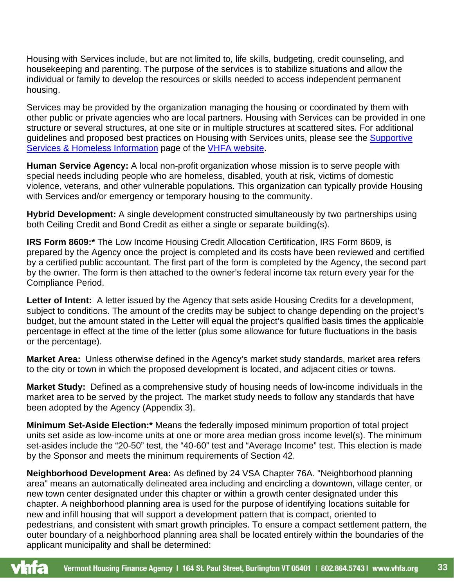Housing with Services include, but are not limited to, life skills, budgeting, credit counseling, and housekeeping and parenting. The purpose of the services is to stabilize situations and allow the individual or family to develop the resources or skills needed to access independent permanent housing.

Services may be provided by the organization managing the housing or coordinated by them with other public or private agencies who are local partners. Housing with Services can be provided in one structure or several structures, at one site or in multiple structures at scattered sites. For additional guidelines and proposed best practices on Housing with Services units, please see the [Supportive](https://www.vhfa.org/rentalhousing/supportive-services-homelessness-information) [Services & Homeless Information](https://www.vhfa.org/rentalhousing/supportive-services-homelessness-information) page of the [VHFA website.](https://www.vhfa.org/)

**Human Service Agency:** A local non-profit organization whose mission is to serve people with special needs including people who are homeless, disabled, youth at risk, victims of domestic violence, veterans, and other vulnerable populations. This organization can typically provide Housing with Services and/or emergency or temporary housing to the community.

<span id="page-32-2"></span>**Hybrid Development:** A single development constructed simultaneously by two partnerships using both Ceiling Credit and Bond Credit as either a single or separate building(s).

**IRS Form 8609:\*** The Low Income Housing Credit Allocation Certification, IRS Form 8609, is prepared by the Agency once the project is completed and its costs have been reviewed and certified by a certified public accountant. The first part of the form is completed by the Agency, the second part by the owner. The form is then attached to the owner's federal income tax return every year for the Compliance Period.

<span id="page-32-0"></span>**Letter of Intent:** A letter issued by the Agency that sets aside Housing Credits for a development, subject to conditions. The amount of the credits may be subject to change depending on the project's budget, but the amount stated in the Letter will equal the project's qualified basis times the applicable percentage in effect at the time of the letter (plus some allowance for future fluctuations in the basis or the percentage).

**Market Area:** Unless otherwise defined in the Agency's market study standards, market area refers to the city or town in which the proposed development is located, and adjacent cities or towns.

<span id="page-32-1"></span>**Market Study:** Defined as a comprehensive study of housing needs of low-income individuals in the market area to be served by the project. The market study needs to follow any standards that have been adopted by the Agency (Appendix 3).

**Minimum Set-Aside Election:\*** Means the federally imposed minimum proportion of total project units set aside as low-income units at one or more area median gross income level(s). The minimum set-asides include the "20-50" test, the "40-60" test and "Average Income" test. This election is made by the Sponsor and meets the minimum requirements of Section 42.

<span id="page-32-3"></span>**Neighborhood Development Area:** As defined by 24 VSA Chapter 76A. "Neighborhood planning area" means an automatically delineated area including and encircling a downtown, village center, or new town center designated under this chapter or within a growth center designated under this chapter. A neighborhood planning area is used for the purpose of identifying locations suitable for new and infill housing that will support a development pattern that is compact, oriented to pedestrians, and consistent with smart growth principles. To ensure a compact settlement pattern, the outer boundary of a neighborhood planning area shall be located entirely within the boundaries of the applicant municipality and shall be determined:

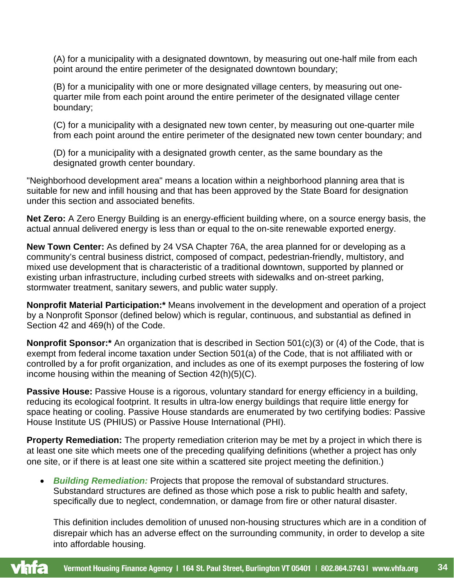(A) for a municipality with a designated downtown, by measuring out one-half mile from each point around the entire perimeter of the designated downtown boundary;

(B) for a municipality with one or more designated village centers, by measuring out onequarter mile from each point around the entire perimeter of the designated village center boundary;

(C) for a municipality with a designated new town center, by measuring out one-quarter mile from each point around the entire perimeter of the designated new town center boundary; and

(D) for a municipality with a designated growth center, as the same boundary as the designated growth center boundary.

"Neighborhood development area" means a location within a neighborhood planning area that is suitable for new and infill housing and that has been approved by the State Board for designation under this section and associated benefits.

<span id="page-33-5"></span>**Net Zero:** A Zero Energy Building is an energy-efficient building where, on a source energy basis, the actual annual delivered energy is less than or equal to the on-site renewable exported energy.

<span id="page-33-2"></span>**New Town Center:** As defined by 24 VSA Chapter 76A, the area planned for or developing as a community's central business district, composed of compact, pedestrian-friendly, multistory, and mixed use development that is characteristic of a traditional downtown, supported by planned or existing urban infrastructure, including curbed streets with sidewalks and on-street parking, stormwater treatment, sanitary sewers, and public water supply.

**Nonprofit Material Participation:\*** Means involvement in the development and operation of a project by a Nonprofit Sponsor (defined below) which is regular, continuous, and substantial as defined in Section 42 and 469(h) of the Code.

<span id="page-33-1"></span>**Nonprofit Sponsor:\*** An organization that is described in Section 501(c)(3) or (4) of the Code, that is exempt from federal income taxation under Section 501(a) of the Code, that is not affiliated with or controlled by a for profit organization, and includes as one of its exempt purposes the fostering of low income housing within the meaning of Section 42(h)(5)(C).

<span id="page-33-4"></span>**Passive House:** Passive House is a rigorous, voluntary standard for energy efficiency in a building, reducing its ecological footprint. It results in ultra-low energy buildings that require little energy for space heating or cooling. Passive House standards are enumerated by two certifying bodies: Passive House Institute US (PHIUS) or Passive House International (PHI).

<span id="page-33-3"></span><span id="page-33-0"></span>**Property Remediation:** The property remediation criterion may be met by a project in which there is at least one site which meets one of the preceding qualifying definitions (whether a project has only one site, or if there is at least one site within a scattered site project meeting the definition.)

• *Building Remediation:* Projects that propose the removal of substandard structures. Substandard structures are defined as those which pose a risk to public health and safety, specifically due to neglect, condemnation, or damage from fire or other natural disaster.

This definition includes demolition of unused non-housing structures which are in a condition of disrepair which has an adverse effect on the surrounding community, in order to develop a site into affordable housing.

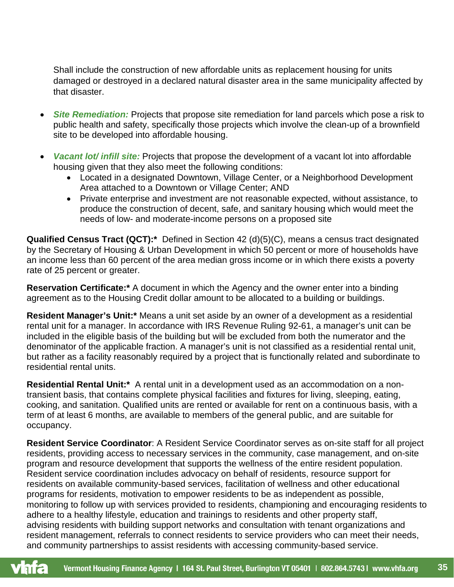Shall include the construction of new affordable units as replacement housing for units damaged or destroyed in a declared natural disaster area in the same municipality affected by that disaster.

- *Site Remediation:* Projects that propose site remediation for land parcels which pose a risk to public health and safety, specifically those projects which involve the clean-up of a brownfield site to be developed into affordable housing.
- *Vacant lot/ infill site:* Projects that propose the development of a vacant lot into affordable housing given that they also meet the following conditions:
	- Located in a designated Downtown, Village Center, or a Neighborhood Development Area attached to a Downtown or Village Center; AND
	- Private enterprise and investment are not reasonable expected, without assistance, to produce the construction of decent, safe, and sanitary housing which would meet the needs of low- and moderate-income persons on a proposed site

**Qualified Census Tract (QCT):\*** Defined in Section 42 (d)(5)(C), means a census tract designated by the Secretary of Housing & Urban Development in which 50 percent or more of households have an income less than 60 percent of the area median gross income or in which there exists a poverty rate of 25 percent or greater.

<span id="page-34-0"></span>**Reservation Certificate:\*** A document in which the Agency and the owner enter into a binding agreement as to the Housing Credit dollar amount to be allocated to a building or buildings.

<span id="page-34-3"></span>**Resident Manager's Unit:\*** Means a unit set aside by an owner of a development as a residential rental unit for a manager. In accordance with IRS Revenue Ruling 92-61, a manager's unit can be included in the eligible basis of the building but will be excluded from both the numerator and the denominator of the applicable fraction. A manager's unit is not classified as a residential rental unit, but rather as a facility reasonably required by a project that is functionally related and subordinate to residential rental units.

<span id="page-34-2"></span>**Residential Rental Unit:\*** A rental unit in a development used as an accommodation on a nontransient basis, that contains complete physical facilities and fixtures for living, sleeping, eating, cooking, and sanitation. Qualified units are rented or available for rent on a continuous basis, with a term of at least 6 months, are available to members of the general public, and are suitable for occupancy.

<span id="page-34-1"></span>**Resident Service Coordinator**: A Resident Service Coordinator serves as on-site staff for all project residents, providing access to necessary services in the community, case management, and on-site program and resource development that supports the wellness of the entire resident population. Resident service coordination includes advocacy on behalf of residents, resource support for residents on available community-based services, facilitation of wellness and other educational programs for residents, motivation to empower residents to be as independent as possible, monitoring to follow up with services provided to residents, championing and encouraging residents to adhere to a healthy lifestyle, education and trainings to residents and other property staff, advising residents with building support networks and consultation with tenant organizations and resident management, referrals to connect residents to service providers who can meet their needs, and community partnerships to assist residents with accessing community-based service.

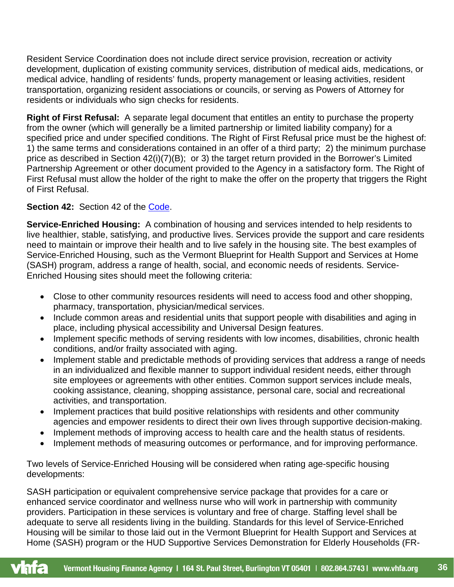Resident Service Coordination does not include direct service provision, recreation or activity development, duplication of existing community services, distribution of medical aids, medications, or medical advice, handling of residents' funds, property management or leasing activities, resident transportation, organizing resident associations or councils, or serving as Powers of Attorney for residents or individuals who sign checks for residents.

**Right of First Refusal:** A separate legal document that entitles an entity to purchase the property from the owner (which will generally be a limited partnership or limited liability company) for a specified price and under specified conditions. The Right of First Refusal price must be the highest of: 1) the same terms and considerations contained in an offer of a third party; 2) the minimum purchase price as described in Section 42(i)(7)(B); or 3) the target return provided in the Borrower's Limited Partnership Agreement or other document provided to the Agency in a satisfactory form. The Right of First Refusal must allow the holder of the right to make the offer on the property that triggers the Right of First Refusal.

# <span id="page-35-0"></span>**Section 42: Section 42 of the [Code.](https://www.law.cornell.edu/uscode/text/26/42)**

<span id="page-35-1"></span>**Service-Enriched Housing:** A combination of housing and services intended to help residents to live healthier, stable, satisfying, and productive lives. Services provide the support and care residents need to maintain or improve their health and to live safely in the housing site. The best examples of Service-Enriched Housing, such as the Vermont Blueprint for Health Support and Services at Home (SASH) program, address a range of health, social, and economic needs of residents. Service-Enriched Housing sites should meet the following criteria:

- Close to other community resources residents will need to access food and other shopping, pharmacy, transportation, physician/medical services.
- Include common areas and residential units that support people with disabilities and aging in place, including physical accessibility and Universal Design features.
- Implement specific methods of serving residents with low incomes, disabilities, chronic health conditions, and/or frailty associated with aging.
- Implement stable and predictable methods of providing services that address a range of needs in an individualized and flexible manner to support individual resident needs, either through site employees or agreements with other entities. Common support services include meals, cooking assistance, cleaning, shopping assistance, personal care, social and recreational activities, and transportation.
- Implement practices that build positive relationships with residents and other community agencies and empower residents to direct their own lives through supportive decision-making.
- Implement methods of improving access to health care and the health status of residents.
- Implement methods of measuring outcomes or performance, and for improving performance.

Two levels of Service-Enriched Housing will be considered when rating age-specific housing developments:

SASH participation or equivalent comprehensive service package that provides for a care or enhanced service coordinator and wellness nurse who will work in partnership with community providers. Participation in these services is voluntary and free of charge. Staffing level shall be adequate to serve all residents living in the building. Standards for this level of Service-Enriched Housing will be similar to those laid out in the Vermont Blueprint for Health Support and Services at Home (SASH) program or the HUD Supportive Services Demonstration for Elderly Households (FR-

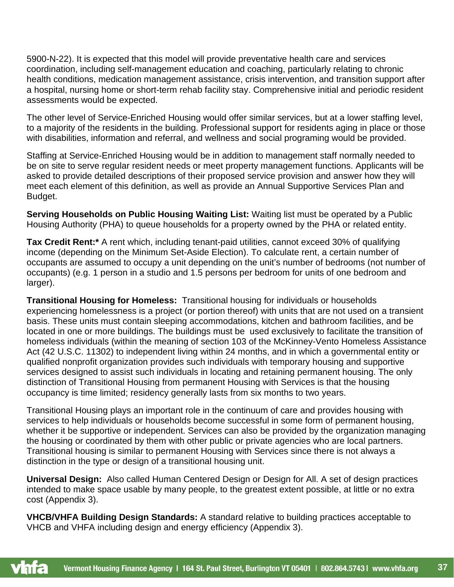5900-N-22). It is expected that this model will provide preventative health care and services coordination, including self-management education and coaching, particularly relating to chronic health conditions, medication management assistance, crisis intervention, and transition support after a hospital, nursing home or short-term rehab facility stay. Comprehensive initial and periodic resident assessments would be expected.

The other level of Service-Enriched Housing would offer similar services, but at a lower staffing level, to a majority of the residents in the building. Professional support for residents aging in place or those with disabilities, information and referral, and wellness and social programing would be provided.

Staffing at Service-Enriched Housing would be in addition to management staff normally needed to be on site to serve regular resident needs or meet property management functions. Applicants will be asked to provide detailed descriptions of their proposed service provision and answer how they will meet each element of this definition, as well as provide an Annual Supportive Services Plan and Budget.

**Serving Households on Public Housing Waiting List:** Waiting list must be operated by a Public Housing Authority (PHA) to queue households for a property owned by the PHA or related entity.

<span id="page-36-1"></span>**Tax Credit Rent:\*** A rent which, including tenant-paid utilities, cannot exceed 30% of qualifying income (depending on the Minimum Set-Aside Election). To calculate rent, a certain number of occupants are assumed to occupy a unit depending on the unit's number of bedrooms (not number of occupants) (e.g. 1 person in a studio and 1.5 persons per bedroom for units of one bedroom and larger).

<span id="page-36-2"></span>**Transitional Housing for Homeless:** Transitional housing for individuals or households experiencing homelessness is a project (or portion thereof) with units that are not used on a transient basis. These units must contain sleeping accommodations, kitchen and bathroom facilities, and be located in one or more buildings. The buildings must be used exclusively to facilitate the transition of homeless individuals (within the meaning of section 103 of the [McKinney-Vento Homeless Assistance](https://www.law.cornell.edu/topn/mckinney_act)  [Act](https://www.law.cornell.edu/topn/mckinney_act) [\(42 U.S.C. 11302\)](https://www.law.cornell.edu/uscode/text/42/11302) to independent living within 24 months, and in which a governmental entity or [qualified nonprofit organization](https://www.law.cornell.edu/definitions/uscode.php?width=840&height=800&iframe=true&def_id=26-USC-160945574-1531717467&term_occur=999&term_src=title:26:subtitle:A:chapter:1:subchapter:A:part:IV:subpart:D:section:42) provides such individuals with temporary housing and [supportive](https://www.law.cornell.edu/definitions/uscode.php?width=840&height=800&iframe=true&def_id=26-USC-1779268670-1531716503&term_occur=999&term_src=title:26:subtitle:A:chapter:1:subchapter:A:part:IV:subpart:D:section:42)  [services d](https://www.law.cornell.edu/definitions/uscode.php?width=840&height=800&iframe=true&def_id=26-USC-1779268670-1531716503&term_occur=999&term_src=title:26:subtitle:A:chapter:1:subchapter:A:part:IV:subpart:D:section:42)esigned to assist such individuals in locating and retaining permanent housing. The only distinction of Transitional Housing from permanent Housing with Services is that the housing occupancy is time limited; residency generally lasts from six months to two years.

Transitional Housing plays an important role in the continuum of care and provides housing with services to help individuals or households become successful in some form of permanent housing, whether it be supportive or independent. Services can also be provided by the organization managing the housing or coordinated by them with other public or private agencies who are local partners. Transitional housing is similar to permanent Housing with Services since there is not always a distinction in the type or design of a transitional housing unit.

**Universal Design:** Also called Human Centered Design or Design for All. A set of design practices intended to make space usable by many people, to the greatest extent possible, at little or no extra cost (Appendix 3).

<span id="page-36-0"></span>**VHCB/VHFA Building Design Standards:** A standard relative to building practices acceptable to VHCB and VHFA including design and energy efficiency (Appendix 3).

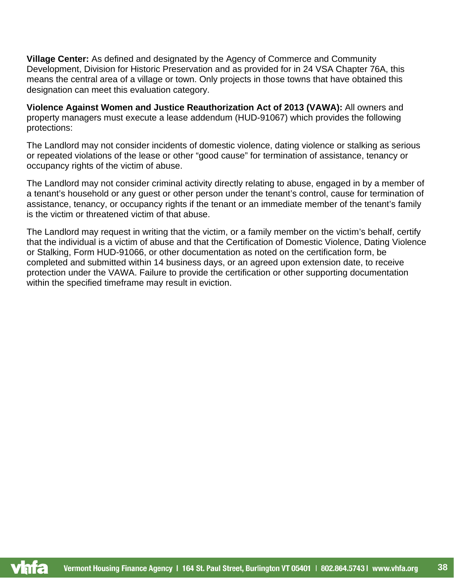**Village Center:** As defined and designated by the Agency of Commerce and Community Development, Division for Historic Preservation and as provided for in 24 VSA Chapter 76A, this means the central area of a village or town. Only projects in those towns that have obtained this designation can meet this evaluation category.

<span id="page-37-0"></span>**Violence Against Women and Justice Reauthorization Act of 2013 (VAWA):** All owners and property managers must execute a lease addendum (HUD-91067) which provides the following protections:

The Landlord may not consider incidents of domestic violence, dating violence or stalking as serious or repeated violations of the lease or other "good cause" for termination of assistance, tenancy or occupancy rights of the victim of abuse.

The Landlord may not consider criminal activity directly relating to abuse, engaged in by a member of a tenant's household or any guest or other person under the tenant's control, cause for termination of assistance, tenancy, or occupancy rights if the tenant or an immediate member of the tenant's family is the victim or threatened victim of that abuse.

The Landlord may request in writing that the victim, or a family member on the victim's behalf, certify that the individual is a victim of abuse and that the Certification of Domestic Violence, Dating Violence or Stalking, Form HUD-91066, or other documentation as noted on the certification form, be completed and submitted within 14 business days, or an agreed upon extension date, to receive protection under the VAWA. Failure to provide the certification or other supporting documentation within the specified timeframe may result in eviction.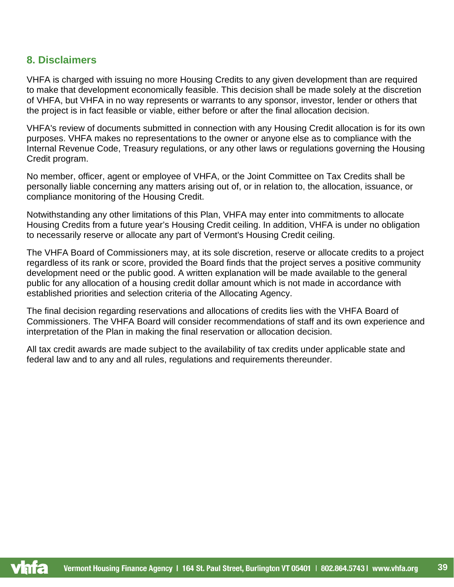# <span id="page-38-0"></span>**8. Disclaimers**

VHFA is charged with issuing no more Housing Credits to any given development than are required to make that development economically feasible. This decision shall be made solely at the discretion of VHFA, but VHFA in no way represents or warrants to any sponsor, investor, lender or others that the project is in fact feasible or viable, either before or after the final allocation decision.

VHFA's review of documents submitted in connection with any Housing Credit allocation is for its own purposes. VHFA makes no representations to the owner or anyone else as to compliance with the Internal Revenue Code, Treasury regulations, or any other laws or regulations governing the Housing Credit program.

No member, officer, agent or employee of VHFA, or the Joint Committee on Tax Credits shall be personally liable concerning any matters arising out of, or in relation to, the allocation, issuance, or compliance monitoring of the Housing Credit.

Notwithstanding any other limitations of this Plan, VHFA may enter into commitments to allocate Housing Credits from a future year's Housing Credit ceiling. In addition, VHFA is under no obligation to necessarily reserve or allocate any part of Vermont's Housing Credit ceiling.

The VHFA Board of Commissioners may, at its sole discretion, reserve or allocate credits to a project regardless of its rank or score, provided the Board finds that the project serves a positive community development need or the public good. A written explanation will be made available to the general public for any allocation of a housing credit dollar amount which is not made in accordance with established priorities and selection criteria of the Allocating Agency.

The final decision regarding reservations and allocations of credits lies with the VHFA Board of Commissioners. The VHFA Board will consider recommendations of staff and its own experience and interpretation of the Plan in making the final reservation or allocation decision.

All tax credit awards are made subject to the availability of tax credits under applicable state and federal law and to any and all rules, regulations and requirements thereunder.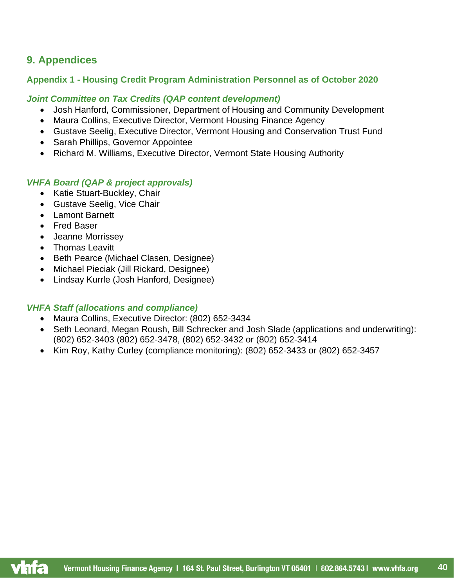# <span id="page-39-0"></span>**9. Appendices**

## <span id="page-39-1"></span>**Appendix 1 - Housing Credit Program Administration Personnel as of October 2020**

#### *Joint Committee on Tax Credits (QAP content development)*

- Josh Hanford, Commissioner, Department of Housing and Community Development
- Maura Collins, Executive Director, Vermont Housing Finance Agency
- Gustave Seelig, Executive Director, Vermont Housing and Conservation Trust Fund
- Sarah Phillips, Governor Appointee
- Richard M. Williams, Executive Director, Vermont State Housing Authority

## *VHFA Board (QAP & project approvals)*

- Katie Stuart-Buckley, Chair
- Gustave Seelig, Vice Chair
- Lamont Barnett
- Fred Baser
- Jeanne Morrissey
- Thomas Leavitt
- Beth Pearce (Michael Clasen, Designee)
- Michael Pieciak (Jill Rickard, Designee)
- Lindsay Kurrle (Josh Hanford, Designee)

## *VHFA Staff (allocations and compliance)*

- Maura Collins, Executive Director: (802) 652-3434
- Seth Leonard, Megan Roush, Bill Schrecker and Josh Slade (applications and underwriting): (802) 652-3403 (802) 652-3478, (802) 652-3432 or (802) 652-3414
- Kim Roy, Kathy Curley (compliance monitoring): (802) 652-3433 or (802) 652-3457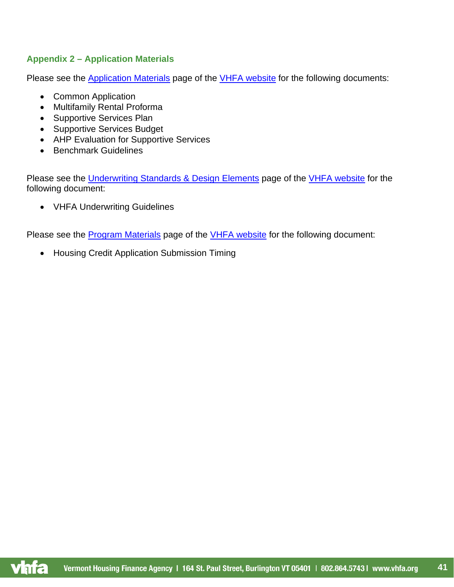# <span id="page-40-1"></span><span id="page-40-0"></span>**Appendix 2 – Application Materials**

Please see the [Application Materials](https://www.vhfa.org/rentalhousing/application-materials) page of the [VHFA website](https://www.vhfa.org/) for the following documents:

- Common Application
- Multifamily Rental Proforma
- Supportive Services Plan
- Supportive Services Budget
- AHP Evaluation for Supportive Services
- Benchmark Guidelines

vnra

Please see the [Underwriting Standards & Design Elements](https://www.vhfa.org/rentalhousing/underwriting-standards-and-design-elements) page of the [VHFA website](https://www.vhfa.org/) for the following document:

• VHFA Underwriting Guidelines

Please see the **Program Materials** page of the [VHFA website](https://www.vhfa.org/) for the following document:

• Housing Credit Application Submission Timing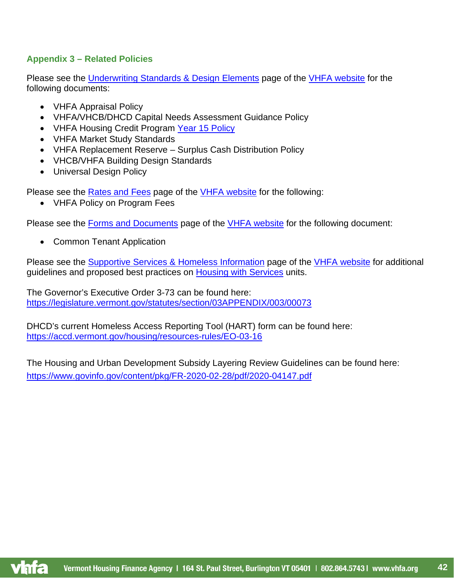## <span id="page-41-0"></span>**Appendix 3 – Related Policies**

Please see the [Underwriting Standards & Design Elements](https://www.vhfa.org/rentalhousing/underwriting-standards-and-design-elements) page of the [VHFA website](https://www.vhfa.org/) for the following documents:

- VHFA Appraisal Policy
- VHFA/VHCB/DHCD Capital Needs Assessment Guidance Policy
- VHFA Housing Credit Program [Year 15 Policy](#page-31-2)
- VHFA Market Study Standards
- VHFA Replacement Reserve Surplus Cash Distribution Policy
- VHCB/VHFA Building Design Standards
- Universal Design Policy

Please see the [Rates and Fees](https://vhfa.org/rentalhousing/developers/rates) page of the [VHFA website](https://vhfa.org/) for the following:

• VHFA Policy on Program Fees

Please see the [Forms and Documents](https://vhfa.org/rentalhousing/forms-and-documents) page of the [VHFA website](https://www.vhfa.org/) for the following document:

• Common Tenant Application

Please see the [Supportive Services & Homeless Information](https://www.vhfa.org/rentalhousing/supportive-services-homelessness-information) page of the [VHFA website](https://www.vhfa.org/) for additional guidelines and proposed best practices on [Housing with Services](#page-31-1) units.

The Governor's Executive Order 3-73 can be found here: <https://legislature.vermont.gov/statutes/section/03APPENDIX/003/00073>

DHCD's current Homeless Access Reporting Tool (HART) form can be found here: <https://accd.vermont.gov/housing/resources-rules/EO-03-16>

The Housing and Urban Development Subsidy Layering Review Guidelines can be found here: <https://www.govinfo.gov/content/pkg/FR-2020-02-28/pdf/2020-04147.pdf>